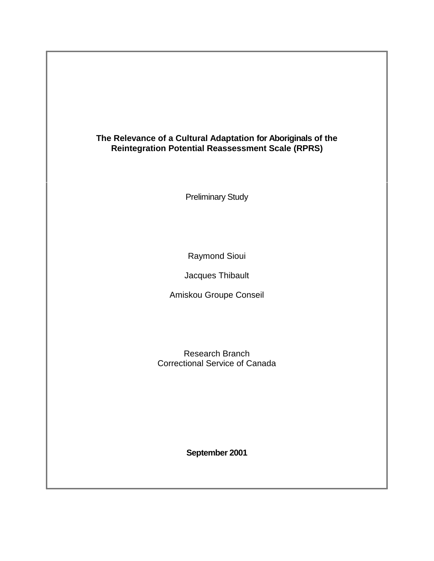# **The Relevance of a Cultural Adaptation for Aboriginals of the Reintegration Potential Reassessment Scale (RPRS)**

Preliminary Study

Raymond Sioui

Jacques Thibault

Amiskou Groupe Conseil

Research Branch Correctional Service of Canada

**September 2001**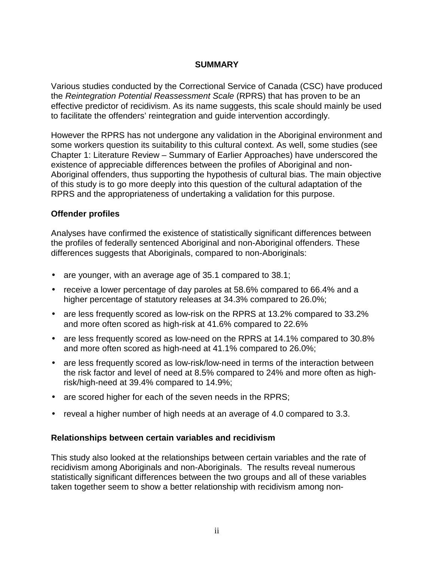### **SUMMARY**

<span id="page-1-0"></span>Various studies conducted by the Correctional Service of Canada (CSC) have produced the *Reintegration Potential Reassessment Scale* (RPRS) that has proven to be an effective predictor of recidivism. As its name suggests, this scale should mainly be used to facilitate the offenders' reintegration and guide intervention accordingly.

However the RPRS has not undergone any validation in the Aboriginal environment and some workers question its suitability to this cultural context. As well, some studies (see Chapter 1: Literature Review – Summary of Earlier Approaches) have underscored the existence of appreciable differences between the profiles of Aboriginal and non-Aboriginal offenders, thus supporting the hypothesis of cultural bias. The main objective of this study is to go more deeply into this question of the cultural adaptation of the RPRS and the appropriateness of undertaking a validation for this purpose.

### **Offender profiles**

Analyses have confirmed the existence of statistically significant differences between the profiles of federally sentenced Aboriginal and non-Aboriginal offenders. These differences suggests that Aboriginals, compared to non-Aboriginals:

- are younger, with an average age of 35.1 compared to 38.1;
- receive a lower percentage of day paroles at 58.6% compared to 66.4% and a higher percentage of statutory releases at 34.3% compared to 26.0%;
- are less frequently scored as low-risk on the RPRS at 13.2% compared to 33.2% and more often scored as high-risk at 41.6% compared to 22.6%
- are less frequently scored as low-need on the RPRS at 14.1% compared to 30.8% and more often scored as high-need at 41.1% compared to 26.0%;
- are less frequently scored as low-risk/low-need in terms of the interaction between the risk factor and level of need at 8.5% compared to 24% and more often as highrisk/high-need at 39.4% compared to 14.9%;
- are scored higher for each of the seven needs in the RPRS;
- reveal a higher number of high needs at an average of 4.0 compared to 3.3.

### **Relationships between certain variables and recidivism**

This study also looked at the relationships between certain variables and the rate of recidivism among Aboriginals and non-Aboriginals. The results reveal numerous statistically significant differences between the two groups and all of these variables taken together seem to show a better relationship with recidivism among non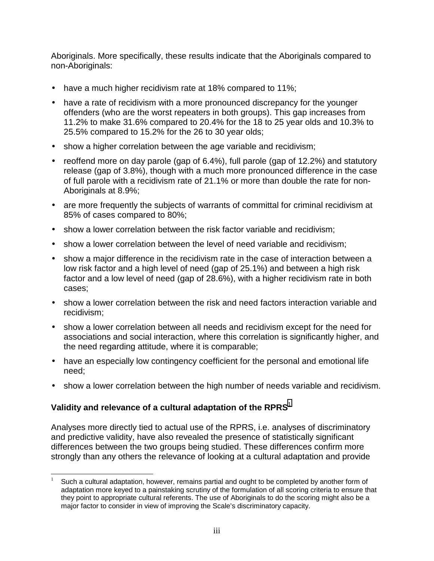Aboriginals. More specifically, these results indicate that the Aboriginals compared to non-Aboriginals:

- have a much higher recidivism rate at 18% compared to 11%;
- have a rate of recidivism with a more pronounced discrepancy for the younger offenders (who are the worst repeaters in both groups). This gap increases from 11.2% to make 31.6% compared to 20.4% for the 18 to 25 year olds and 10.3% to 25.5% compared to 15.2% for the 26 to 30 year olds;
- show a higher correlation between the age variable and recidivism;
- reoffend more on day parole (gap of 6.4%), full parole (gap of 12.2%) and statutory release (gap of 3.8%), though with a much more pronounced difference in the case of full parole with a recidivism rate of 21.1% or more than double the rate for non-Aboriginals at 8.9%;
- are more frequently the subjects of warrants of committal for criminal recidivism at 85% of cases compared to 80%;
- show a lower correlation between the risk factor variable and recidivism;
- show a lower correlation between the level of need variable and recidivism;
- show a major difference in the recidivism rate in the case of interaction between a low risk factor and a high level of need (gap of 25.1%) and between a high risk factor and a low level of need (gap of 28.6%), with a higher recidivism rate in both cases;
- show a lower correlation between the risk and need factors interaction variable and recidivism;
- show a lower correlation between all needs and recidivism except for the need for associations and social interaction, where this correlation is significantly higher, and the need regarding attitude, where it is comparable;
- have an especially low contingency coefficient for the personal and emotional life need;
- show a lower correlation between the high number of needs variable and recidivism.

# Validity and relevance of a cultural adaptation of the RPRS<sup>1</sup>

Analyses more directly tied to actual use of the RPRS, i.e. analyses of discriminatory and predictive validity, have also revealed the presence of statistically significant differences between the two groups being studied. These differences confirm more strongly than any others the relevance of looking at a cultural adaptation and provide

 $\overline{\phantom{a}}$ Such a cultural adaptation, however, remains partial and ought to be completed by another form of adaptation more keyed to a painstaking scrutiny of the formulation of all scoring criteria to ensure that they point to appropriate cultural referents. The use of Aboriginals to do the scoring might also be a major factor to consider in view of improving the Scale's discriminatory capacity.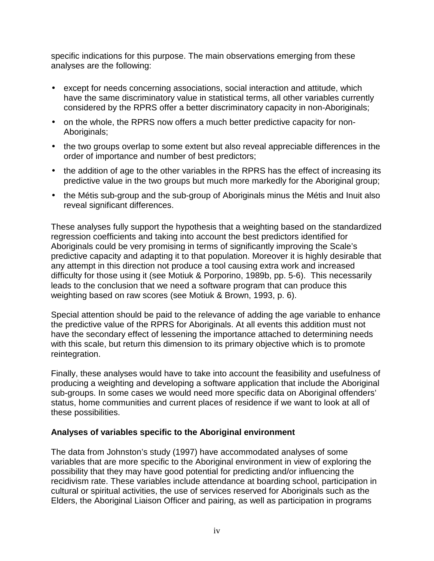specific indications for this purpose. The main observations emerging from these analyses are the following:

- except for needs concerning associations, social interaction and attitude, which have the same discriminatory value in statistical terms, all other variables currently considered by the RPRS offer a better discriminatory capacity in non-Aboriginals;
- on the whole, the RPRS now offers a much better predictive capacity for non-Aboriginals;
- the two groups overlap to some extent but also reveal appreciable differences in the order of importance and number of best predictors;
- the addition of age to the other variables in the RPRS has the effect of increasing its predictive value in the two groups but much more markedly for the Aboriginal group;
- the Métis sub-group and the sub-group of Aboriginals minus the Métis and Inuit also reveal significant differences.

These analyses fully support the hypothesis that a weighting based on the standardized regression coefficients and taking into account the best predictors identified for Aboriginals could be very promising in terms of significantly improving the Scale's predictive capacity and adapting it to that population. Moreover it is highly desirable that any attempt in this direction not produce a tool causing extra work and increased difficulty for those using it (see Motiuk & Porporino, 1989b, pp. 5-6). This necessarily leads to the conclusion that we need a software program that can produce this weighting based on raw scores (see Motiuk & Brown, 1993, p. 6).

Special attention should be paid to the relevance of adding the age variable to enhance the predictive value of the RPRS for Aboriginals. At all events this addition must not have the secondary effect of lessening the importance attached to determining needs with this scale, but return this dimension to its primary objective which is to promote reintegration.

Finally, these analyses would have to take into account the feasibility and usefulness of producing a weighting and developing a software application that include the Aboriginal sub-groups. In some cases we would need more specific data on Aboriginal offenders' status, home communities and current places of residence if we want to look at all of these possibilities.

### **Analyses of variables specific to the Aboriginal environment**

The data from Johnston's study (1997) have accommodated analyses of some variables that are more specific to the Aboriginal environment in view of exploring the possibility that they may have good potential for predicting and/or influencing the recidivism rate. These variables include attendance at boarding school, participation in cultural or spiritual activities, the use of services reserved for Aboriginals such as the Elders, the Aboriginal Liaison Officer and pairing, as well as participation in programs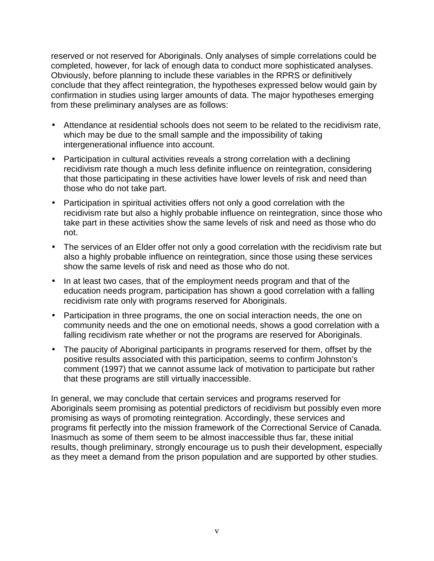reserved or not reserved for Aboriginals. Only analyses of simple correlations could be completed, however, for lack of enough data to conduct more sophisticated analyses. Obviously, before planning to include these variables in the RPRS or definitively conclude that they affect reintegration, the hypotheses expressed below would gain by confirmation in studies using larger amounts of data. The major hypotheses emerging from these preliminary analyses are as follows:

- Attendance at residential schools does not seem to be related to the recidivism rate, which may be due to the small sample and the impossibility of taking intergenerational influence into account.
- Participation in cultural activities reveals a strong correlation with a declining recidivism rate though a much less definite influence on reintegration, considering that those participating in these activities have lower levels of risk and need than those who do not take part.
- Participation in spiritual activities offers not only a good correlation with the recidivism rate but also a highly probable influence on reintegration, since those who take part in these activities show the same levels of risk and need as those who do not.
- The services of an Elder offer not only a good correlation with the recidivism rate but also a highly probable influence on reintegration, since those using these services show the same levels of risk and need as those who do not.
- In at least two cases, that of the employment needs program and that of the education needs program, participation has shown a good correlation with a falling recidivism rate only with programs reserved for Aboriginals.
- Participation in three programs, the one on social interaction needs, the one on community needs and the one on emotional needs, shows a good correlation with a falling recidivism rate whether or not the programs are reserved for Aboriginals.
- The paucity of Aboriginal participants in programs reserved for them, offset by the positive results associated with this participation, seems to confirm Johnston's comment (1997) that we cannot assume lack of motivation to participate but rather that these programs are still virtually inaccessible.

In general, we may conclude that certain services and programs reserved for Aboriginals seem promising as potential predictors of recidivism but possibly even more promising as ways of promoting reintegration. Accordingly, these services and programs fit perfectly into the mission framework of the Correctional Service of Canada. Inasmuch as some of them seem to be almost inaccessible thus far, these initial results, though preliminary, strongly encourage us to push their development, especially as they meet a demand from the prison population and are supported by other studies.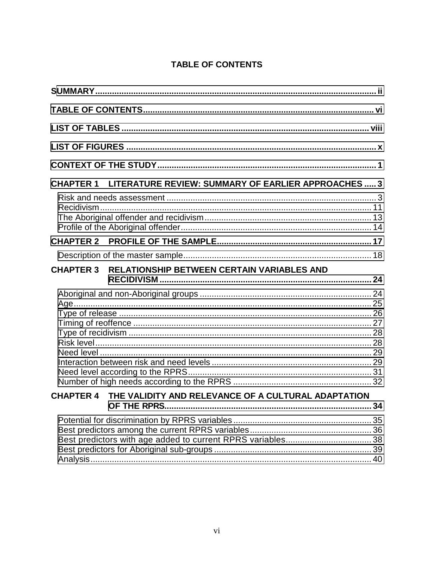# **TABLE OF CONTENTS**

| <b>CHAPTER 1 LITERATURE REVIEW: SUMMARY OF EARLIER APPROACHES  3</b> |  |
|----------------------------------------------------------------------|--|
|                                                                      |  |
|                                                                      |  |
|                                                                      |  |
| RELATIONSHIP BETWEEN CERTAIN VARIABLES AND<br><b>CHAPTER 3</b>       |  |
|                                                                      |  |
| CHAPTER 4 THE VALIDITY AND RELEVANCE OF A CULTURAL ADAPTATION        |  |
|                                                                      |  |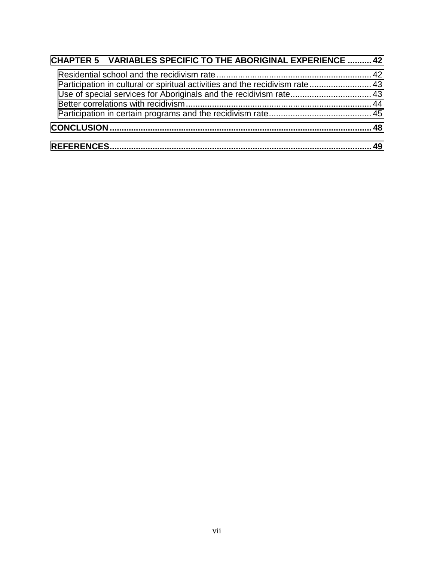| <b>CHAPTER 5 VARIABLES SPECIFIC TO THE ABORIGINAL EXPERIENCE  42</b>         |     |
|------------------------------------------------------------------------------|-----|
| Participation in cultural or spiritual activities and the recidivism rate 43 |     |
|                                                                              |     |
|                                                                              |     |
|                                                                              |     |
|                                                                              | -49 |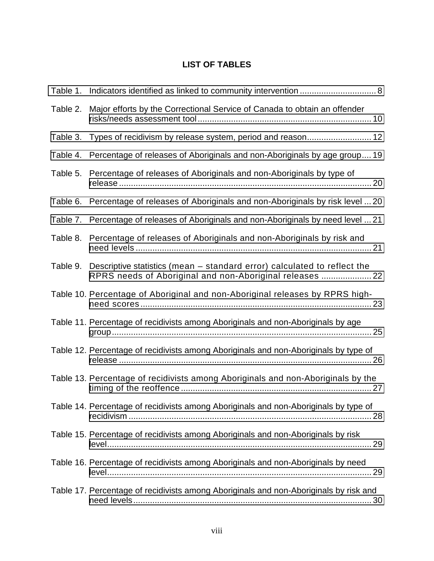# **LIST OF TABLES**

<span id="page-7-0"></span>

| Table 1. |                                                                                                                                      |
|----------|--------------------------------------------------------------------------------------------------------------------------------------|
| Table 2. | Major efforts by the Correctional Service of Canada to obtain an offender                                                            |
| Table 3. | Types of recidivism by release system, period and reason 12                                                                          |
| Table 4. | Percentage of releases of Aboriginals and non-Aboriginals by age group 19                                                            |
| Table 5. | Percentage of releases of Aboriginals and non-Aboriginals by type of                                                                 |
| Table 6. | Percentage of releases of Aboriginals and non-Aboriginals by risk level  20                                                          |
| Table 7. | Percentage of releases of Aboriginals and non-Aboriginals by need level  21                                                          |
| Table 8. | Percentage of releases of Aboriginals and non-Aboriginals by risk and                                                                |
| Table 9. | Descriptive statistics (mean - standard error) calculated to reflect the<br>RPRS needs of Aboriginal and non-Aboriginal releases  22 |
|          | Table 10. Percentage of Aboriginal and non-Aboriginal releases by RPRS high-                                                         |
|          | Table 11. Percentage of recidivists among Aboriginals and non-Aboriginals by age                                                     |
|          | Table 12. Percentage of recidivists among Aboriginals and non-Aboriginals by type of                                                 |
|          | Table 13. Percentage of recidivists among Aboriginals and non-Aboriginals by the                                                     |
|          | Table 14. Percentage of recidivists among Aboriginals and non-Aboriginals by type of                                                 |
|          | Table 15. Percentage of recidivists among Aboriginals and non-Aboriginals by risk                                                    |
|          | Table 16. Percentage of recidivists among Aboriginals and non-Aboriginals by need                                                    |
|          | Table 17. Percentage of recidivists among Aboriginals and non-Aboriginals by risk and                                                |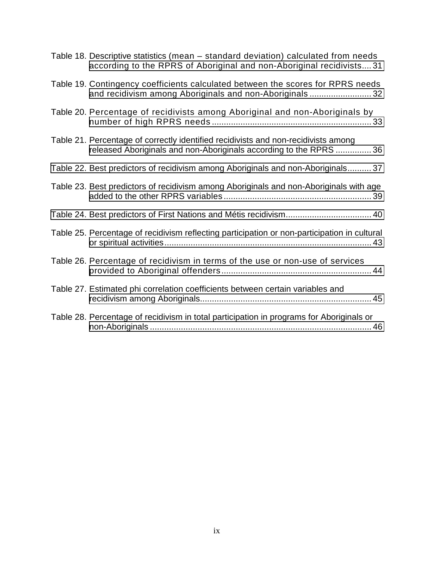| Table 18. Descriptive statistics (mean – standard deviation) calculated from needs<br>according to the RPRS of Aboriginal and non-Aboriginal recidivists31 |
|------------------------------------------------------------------------------------------------------------------------------------------------------------|
| Table 19. Contingency coefficients calculated between the scores for RPRS needs<br>and recidivism among Aboriginals and non-Aboriginals32                  |
| Table 20. Percentage of recidivists among Aboriginal and non-Aboriginals by                                                                                |
| Table 21. Percentage of correctly identified recidivists and non-recidivists among<br>released Aboriginals and non-Aboriginals according to the RPRS 36    |
| Table 22. Best predictors of recidivism among Aboriginals and non-Aboriginals 37                                                                           |
| Table 23. Best predictors of recidivism among Aboriginals and non-Aboriginals with age                                                                     |
| Table 24. Best predictors of First Nations and Métis recidivism 40                                                                                         |
| Table 25. Percentage of recidivism reflecting participation or non-participation in cultural                                                               |
| Table 26. Percentage of recidivism in terms of the use or non-use of services                                                                              |
| Table 27. Estimated phi correlation coefficients between certain variables and                                                                             |
| Table 28. Percentage of recidivism in total participation in programs for Aboriginals or                                                                   |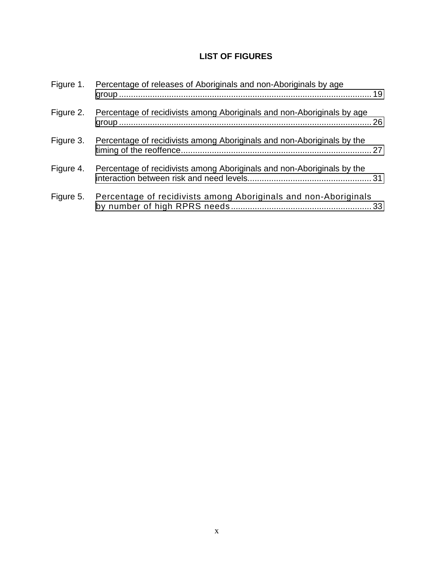# **LIST OF FIGURES**

<span id="page-9-0"></span>

| Figure 1. | Percentage of releases of Aboriginals and non-Aboriginals by age       |  |
|-----------|------------------------------------------------------------------------|--|
| Figure 2. | Percentage of recidivists among Aboriginals and non-Aboriginals by age |  |
| Figure 3. | Percentage of recidivists among Aboriginals and non-Aboriginals by the |  |
| Figure 4. | Percentage of recidivists among Aboriginals and non-Aboriginals by the |  |
| Figure 5. | Percentage of recidivists among Aboriginals and non-Aboriginals        |  |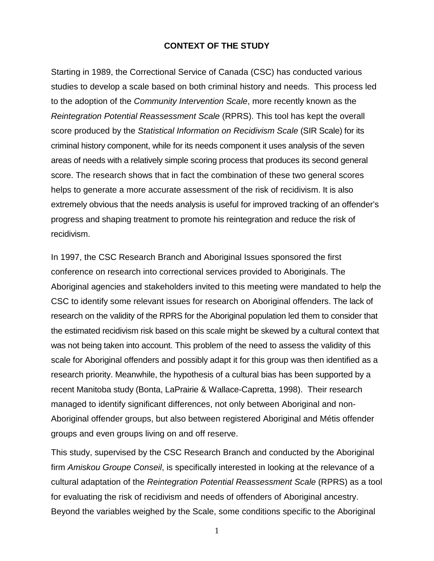### **CONTEXT OF THE STUDY**

<span id="page-10-0"></span>Starting in 1989, the Correctional Service of Canada (CSC) has conducted various studies to develop a scale based on both criminal history and needs. This process led to the adoption of the *Community Intervention Scale*, more recently known as the *Reintegration Potential Reassessment Scale* (RPRS). This tool has kept the overall score produced by the *Statistical Information on Recidivism Scale* (SIR Scale) for its criminal history component, while for its needs component it uses analysis of the seven areas of needs with a relatively simple scoring process that produces its second general score. The research shows that in fact the combination of these two general scores helps to generate a more accurate assessment of the risk of recidivism. It is also extremely obvious that the needs analysis is useful for improved tracking of an offender's progress and shaping treatment to promote his reintegration and reduce the risk of recidivism.

In 1997, the CSC Research Branch and Aboriginal Issues sponsored the first conference on research into correctional services provided to Aboriginals. The Aboriginal agencies and stakeholders invited to this meeting were mandated to help the CSC to identify some relevant issues for research on Aboriginal offenders. The lack of research on the validity of the RPRS for the Aboriginal population led them to consider that the estimated recidivism risk based on this scale might be skewed by a cultural context that was not being taken into account. This problem of the need to assess the validity of this scale for Aboriginal offenders and possibly adapt it for this group was then identified as a research priority. Meanwhile, the hypothesis of a cultural bias has been supported by a recent Manitoba study (Bonta, LaPrairie & Wallace-Capretta, 1998). Their research managed to identify significant differences, not only between Aboriginal and non-Aboriginal offender groups, but also between registered Aboriginal and Métis offender groups and even groups living on and off reserve.

This study, supervised by the CSC Research Branch and conducted by the Aboriginal firm *Amiskou Groupe Conseil*, is specifically interested in looking at the relevance of a cultural adaptation of the *Reintegration Potential Reassessment Scale* (RPRS) as a tool for evaluating the risk of recidivism and needs of offenders of Aboriginal ancestry. Beyond the variables weighed by the Scale, some conditions specific to the Aboriginal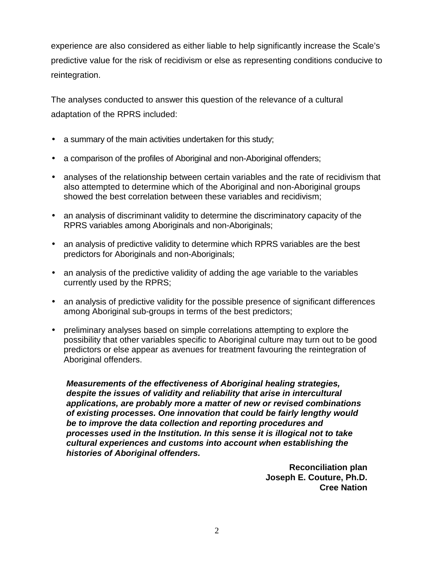experience are also considered as either liable to help significantly increase the Scale's predictive value for the risk of recidivism or else as representing conditions conducive to reintegration.

The analyses conducted to answer this question of the relevance of a cultural adaptation of the RPRS included:

- a summary of the main activities undertaken for this study;
- a comparison of the profiles of Aboriginal and non-Aboriginal offenders;
- analyses of the relationship between certain variables and the rate of recidivism that also attempted to determine which of the Aboriginal and non-Aboriginal groups showed the best correlation between these variables and recidivism;
- an analysis of discriminant validity to determine the discriminatory capacity of the RPRS variables among Aboriginals and non-Aboriginals;
- an analysis of predictive validity to determine which RPRS variables are the best predictors for Aboriginals and non-Aboriginals;
- an analysis of the predictive validity of adding the age variable to the variables currently used by the RPRS;
- an analysis of predictive validity for the possible presence of significant differences among Aboriginal sub-groups in terms of the best predictors;
- preliminary analyses based on simple correlations attempting to explore the possibility that other variables specific to Aboriginal culture may turn out to be good predictors or else appear as avenues for treatment favouring the reintegration of Aboriginal offenders.

*Measurements of the effectiveness of Aboriginal healing strategies, despite the issues of validity and reliability that arise in intercultural applications, are probably more a matter of new or revised combinations of existing processes. One innovation that could be fairly lengthy would be to improve the data collection and reporting procedures and processes used in the Institution. In this sense it is illogical not to take cultural experiences and customs into account when establishing the histories of Aboriginal offenders.*

> **Reconciliation plan Joseph E. Couture, Ph.D. Cree Nation**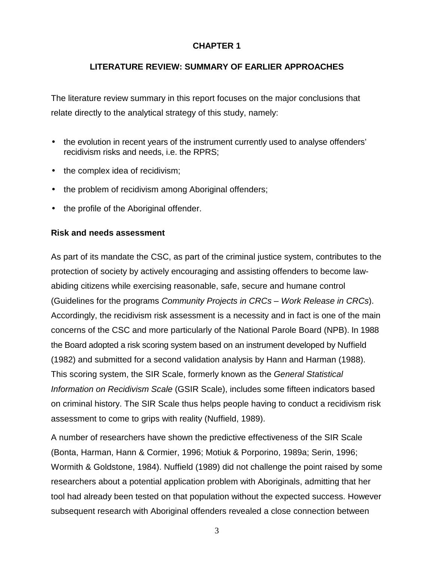# **CHAPTER 1**

# **LITERATURE REVIEW: SUMMARY OF EARLIER APPROACHES**

<span id="page-12-0"></span>The literature review summary in this report focuses on the major conclusions that relate directly to the analytical strategy of this study, namely:

- the evolution in recent years of the instrument currently used to analyse offenders' recidivism risks and needs, i.e. the RPRS;
- the complex idea of recidivism;
- the problem of recidivism among Aboriginal offenders;
- the profile of the Aboriginal offender.

### **Risk and needs assessment**

As part of its mandate the CSC, as part of the criminal justice system, contributes to the protection of society by actively encouraging and assisting offenders to become lawabiding citizens while exercising reasonable, safe, secure and humane control (Guidelines for the programs *Community Projects in CRCs – Work Release in CRCs*). Accordingly, the recidivism risk assessment is a necessity and in fact is one of the main concerns of the CSC and more particularly of the National Parole Board (NPB). In 1988 the Board adopted a risk scoring system based on an instrument developed by Nuffield (1982) and submitted for a second validation analysis by Hann and Harman (1988). This scoring system, the SIR Scale, formerly known as the *General Statistical Information on Recidivism Scale* (GSIR Scale), includes some fifteen indicators based on criminal history. The SIR Scale thus helps people having to conduct a recidivism risk assessment to come to grips with reality (Nuffield, 1989).

A number of researchers have shown the predictive effectiveness of the SIR Scale (Bonta, Harman, Hann & Cormier, 1996; Motiuk & Porporino, 1989a; Serin, 1996; Wormith & Goldstone, 1984). Nuffield (1989) did not challenge the point raised by some researchers about a potential application problem with Aboriginals, admitting that her tool had already been tested on that population without the expected success. However subsequent research with Aboriginal offenders revealed a close connection between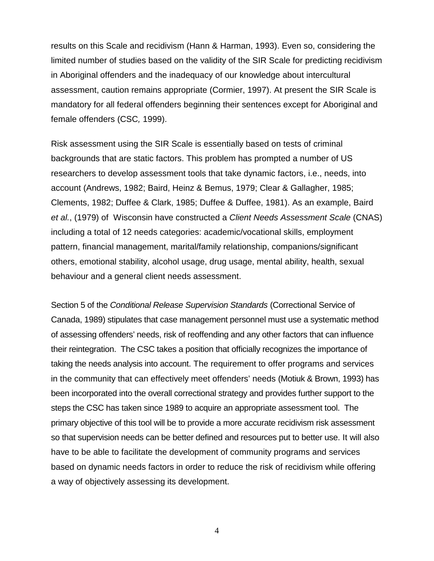results on this Scale and recidivism (Hann & Harman, 1993). Even so, considering the limited number of studies based on the validity of the SIR Scale for predicting recidivism in Aboriginal offenders and the inadequacy of our knowledge about intercultural assessment, caution remains appropriate (Cormier, 1997). At present the SIR Scale is mandatory for all federal offenders beginning their sentences except for Aboriginal and female offenders (CSC*,* 1999).

Risk assessment using the SIR Scale is essentially based on tests of criminal backgrounds that are static factors. This problem has prompted a number of US researchers to develop assessment tools that take dynamic factors, i.e., needs, into account (Andrews, 1982; Baird, Heinz & Bemus, 1979; Clear & Gallagher, 1985; Clements, 1982; Duffee & Clark, 1985; Duffee & Duffee, 1981). As an example, Baird *et al.*, (1979) of Wisconsin have constructed a *Client Needs Assessment Scale* (CNAS) including a total of 12 needs categories: academic/vocational skills, employment pattern, financial management, marital/family relationship, companions/significant others, emotional stability, alcohol usage, drug usage, mental ability, health, sexual behaviour and a general client needs assessment.

Section 5 of the *Conditional Release Supervision Standards* (Correctional Service of Canada, 1989) stipulates that case management personnel must use a systematic method of assessing offenders' needs, risk of reoffending and any other factors that can influence their reintegration. The CSC takes a position that officially recognizes the importance of taking the needs analysis into account. The requirement to offer programs and services in the community that can effectively meet offenders' needs (Motiuk & Brown, 1993) has been incorporated into the overall correctional strategy and provides further support to the steps the CSC has taken since 1989 to acquire an appropriate assessment tool. The primary objective of this tool will be to provide a more accurate recidivism risk assessment so that supervision needs can be better defined and resources put to better use. It will also have to be able to facilitate the development of community programs and services based on dynamic needs factors in order to reduce the risk of recidivism while offering a way of objectively assessing its development.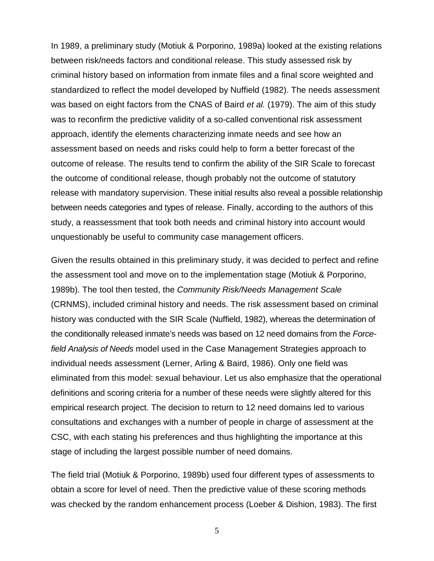In 1989, a preliminary study (Motiuk & Porporino, 1989a) looked at the existing relations between risk/needs factors and conditional release. This study assessed risk by criminal history based on information from inmate files and a final score weighted and standardized to reflect the model developed by Nuffield (1982). The needs assessment was based on eight factors from the CNAS of Baird *et al.* (1979). The aim of this study was to reconfirm the predictive validity of a so-called conventional risk assessment approach, identify the elements characterizing inmate needs and see how an assessment based on needs and risks could help to form a better forecast of the outcome of release. The results tend to confirm the ability of the SIR Scale to forecast the outcome of conditional release, though probably not the outcome of statutory release with mandatory supervision. These initial results also reveal a possible relationship between needs categories and types of release. Finally, according to the authors of this study, a reassessment that took both needs and criminal history into account would unquestionably be useful to community case management officers.

Given the results obtained in this preliminary study, it was decided to perfect and refine the assessment tool and move on to the implementation stage (Motiuk & Porporino, 1989b). The tool then tested, the *Community Risk/Needs Management Scale* (CRNMS), included criminal history and needs. The risk assessment based on criminal history was conducted with the SIR Scale (Nuffield, 1982), whereas the determination of the conditionally released inmate's needs was based on 12 need domains from the *Forcefield Analysis of Needs* model used in the Case Management Strategies approach to individual needs assessment (Lerner, Arling & Baird, 1986). Only one field was eliminated from this model: sexual behaviour. Let us also emphasize that the operational definitions and scoring criteria for a number of these needs were slightly altered for this empirical research project. The decision to return to 12 need domains led to various consultations and exchanges with a number of people in charge of assessment at the CSC, with each stating his preferences and thus highlighting the importance at this stage of including the largest possible number of need domains.

The field trial (Motiuk & Porporino, 1989b) used four different types of assessments to obtain a score for level of need. Then the predictive value of these scoring methods was checked by the random enhancement process (Loeber & Dishion, 1983). The first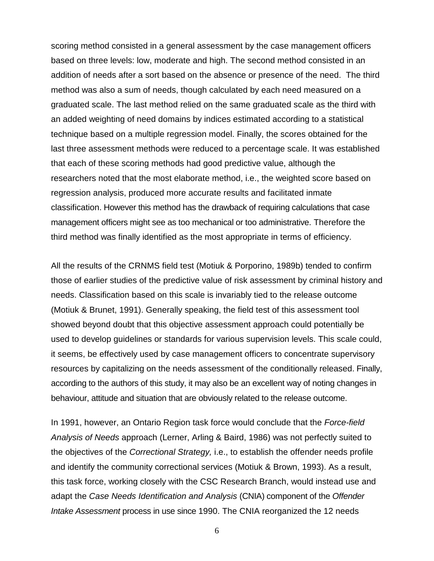scoring method consisted in a general assessment by the case management officers based on three levels: low, moderate and high. The second method consisted in an addition of needs after a sort based on the absence or presence of the need. The third method was also a sum of needs, though calculated by each need measured on a graduated scale. The last method relied on the same graduated scale as the third with an added weighting of need domains by indices estimated according to a statistical technique based on a multiple regression model. Finally, the scores obtained for the last three assessment methods were reduced to a percentage scale. It was established that each of these scoring methods had good predictive value, although the researchers noted that the most elaborate method, i.e., the weighted score based on regression analysis, produced more accurate results and facilitated inmate classification. However this method has the drawback of requiring calculations that case management officers might see as too mechanical or too administrative. Therefore the third method was finally identified as the most appropriate in terms of efficiency.

All the results of the CRNMS field test (Motiuk & Porporino, 1989b) tended to confirm those of earlier studies of the predictive value of risk assessment by criminal history and needs. Classification based on this scale is invariably tied to the release outcome (Motiuk & Brunet, 1991). Generally speaking, the field test of this assessment tool showed beyond doubt that this objective assessment approach could potentially be used to develop guidelines or standards for various supervision levels. This scale could, it seems, be effectively used by case management officers to concentrate supervisory resources by capitalizing on the needs assessment of the conditionally released. Finally, according to the authors of this study, it may also be an excellent way of noting changes in behaviour, attitude and situation that are obviously related to the release outcome.

In 1991, however, an Ontario Region task force would conclude that the *Force-field Analysis of Needs* approach (Lerner, Arling & Baird, 1986) was not perfectly suited to the objectives of the *Correctional Strategy,* i.e., to establish the offender needs profile and identify the community correctional services (Motiuk & Brown, 1993). As a result, this task force, working closely with the CSC Research Branch, would instead use and adapt the *Case Needs Identification and Analysis* (CNIA) component of the *Offender Intake Assessment* process in use since 1990. The CNIA reorganized the 12 needs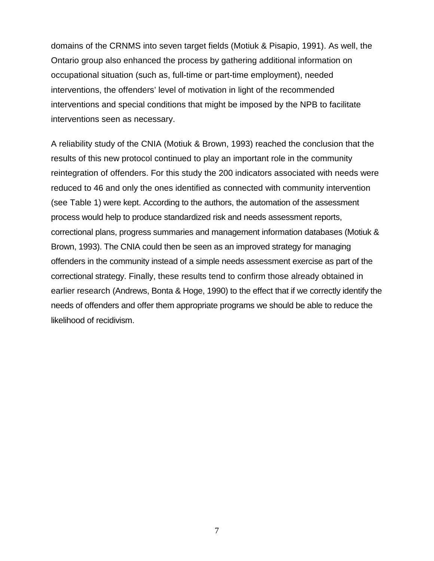domains of the CRNMS into seven target fields (Motiuk & Pisapio, 1991). As well, the Ontario group also enhanced the process by gathering additional information on occupational situation (such as, full-time or part-time employment), needed interventions, the offenders' level of motivation in light of the recommended interventions and special conditions that might be imposed by the NPB to facilitate interventions seen as necessary.

A reliability study of the CNIA (Motiuk & Brown, 1993) reached the conclusion that the results of this new protocol continued to play an important role in the community reintegration of offenders. For this study the 200 indicators associated with needs were reduced to 46 and only the ones identified as connected with community intervention (see Table 1) were kept. According to the authors, the automation of the assessment process would help to produce standardized risk and needs assessment reports, correctional plans, progress summaries and management information databases (Motiuk & Brown, 1993). The CNIA could then be seen as an improved strategy for managing offenders in the community instead of a simple needs assessment exercise as part of the correctional strategy. Finally, these results tend to confirm those already obtained in earlier research (Andrews, Bonta & Hoge, 1990) to the effect that if we correctly identify the needs of offenders and offer them appropriate programs we should be able to reduce the likelihood of recidivism.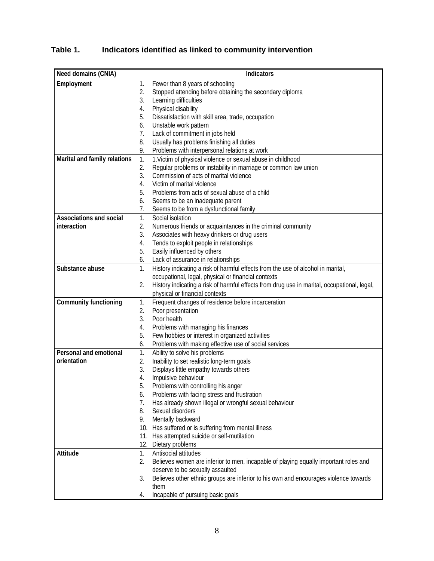# <span id="page-17-0"></span>**Table 1. Indicators identified as linked to community intervention**

| Need domains (CNIA)            | <b>Indicators</b>                                                                                 |  |  |
|--------------------------------|---------------------------------------------------------------------------------------------------|--|--|
| Employment                     | Fewer than 8 years of schooling<br>1.                                                             |  |  |
|                                | 2.<br>Stopped attending before obtaining the secondary diploma                                    |  |  |
|                                | 3.<br>Learning difficulties                                                                       |  |  |
|                                | Physical disability<br>4.                                                                         |  |  |
|                                | 5.<br>Dissatisfaction with skill area, trade, occupation                                          |  |  |
|                                | Unstable work pattern<br>6.                                                                       |  |  |
|                                | 7.<br>Lack of commitment in jobs held                                                             |  |  |
|                                | Usually has problems finishing all duties<br>8.                                                   |  |  |
|                                | Problems with interpersonal relations at work<br>9.                                               |  |  |
| Marital and family relations   | 1. Victim of physical violence or sexual abuse in childhood<br>1.                                 |  |  |
|                                | Regular problems or instability in marriage or common law union<br>2.                             |  |  |
|                                | 3.<br>Commission of acts of marital violence                                                      |  |  |
|                                | Victim of marital violence<br>4.                                                                  |  |  |
|                                | Problems from acts of sexual abuse of a child<br>5.                                               |  |  |
|                                | Seems to be an inadequate parent<br>6.                                                            |  |  |
|                                | 7.<br>Seems to be from a dysfunctional family                                                     |  |  |
| <b>Associations and social</b> | Social isolation<br>1.                                                                            |  |  |
| interaction                    | 2.<br>Numerous friends or acquaintances in the criminal community                                 |  |  |
|                                | 3.<br>Associates with heavy drinkers or drug users                                                |  |  |
|                                | Tends to exploit people in relationships<br>4.                                                    |  |  |
|                                | 5.<br>Easily influenced by others                                                                 |  |  |
|                                | Lack of assurance in relationships<br>6.                                                          |  |  |
| Substance abuse                | History indicating a risk of harmful effects from the use of alcohol in marital,<br>1.            |  |  |
|                                | occupational, legal, physical or financial contexts                                               |  |  |
|                                | 2.<br>History indicating a risk of harmful effects from drug use in marital, occupational, legal, |  |  |
|                                | physical or financial contexts                                                                    |  |  |
| <b>Community functioning</b>   | 1.<br>Frequent changes of residence before incarceration                                          |  |  |
|                                | 2.<br>Poor presentation<br>3.<br>Poor health                                                      |  |  |
|                                | Problems with managing his finances<br>4.                                                         |  |  |
|                                | 5.<br>Few hobbies or interest in organized activities                                             |  |  |
|                                | Problems with making effective use of social services<br>6.                                       |  |  |
| <b>Personal and emotional</b>  | 1.<br>Ability to solve his problems                                                               |  |  |
| orientation                    | Inability to set realistic long-term goals<br>2.                                                  |  |  |
|                                | 3.<br>Displays little empathy towards others                                                      |  |  |
|                                | Impulsive behaviour<br>4.                                                                         |  |  |
|                                | 5.<br>Problems with controlling his anger                                                         |  |  |
|                                | Problems with facing stress and frustration<br>6.                                                 |  |  |
|                                | 7.<br>Has already shown illegal or wrongful sexual behaviour                                      |  |  |
|                                | 8.<br>Sexual disorders                                                                            |  |  |
|                                | Mentally backward<br>9.                                                                           |  |  |
|                                | 10. Has suffered or is suffering from mental illness                                              |  |  |
|                                | 11. Has attempted suicide or self-mutilation                                                      |  |  |
|                                | 12. Dietary problems                                                                              |  |  |
| <b>Attitude</b>                | 1.<br>Antisocial attitudes                                                                        |  |  |
|                                | 2.<br>Believes women are inferior to men, incapable of playing equally important roles and        |  |  |
|                                | deserve to be sexually assaulted                                                                  |  |  |
|                                | Believes other ethnic groups are inferior to his own and encourages violence towards<br>3.        |  |  |
|                                | them                                                                                              |  |  |
|                                | Incapable of pursuing basic goals<br>4.                                                           |  |  |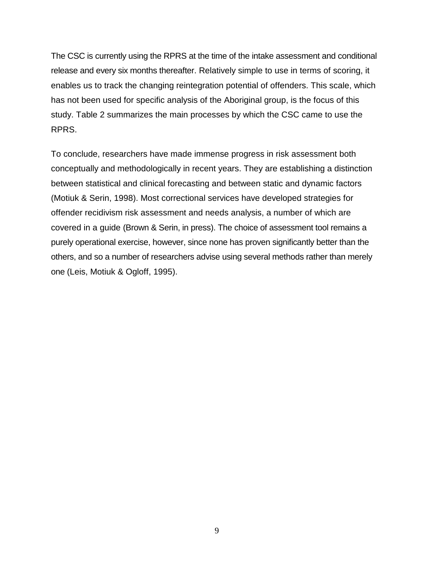The CSC is currently using the RPRS at the time of the intake assessment and conditional release and every six months thereafter. Relatively simple to use in terms of scoring, it enables us to track the changing reintegration potential of offenders. This scale, which has not been used for specific analysis of the Aboriginal group, is the focus of this study. Table 2 summarizes the main processes by which the CSC came to use the RPRS.

To conclude, researchers have made immense progress in risk assessment both conceptually and methodologically in recent years. They are establishing a distinction between statistical and clinical forecasting and between static and dynamic factors (Motiuk & Serin, 1998). Most correctional services have developed strategies for offender recidivism risk assessment and needs analysis, a number of which are covered in a guide (Brown & Serin, in press). The choice of assessment tool remains a purely operational exercise, however, since none has proven significantly better than the others, and so a number of researchers advise using several methods rather than merely one (Leis, Motiuk & Ogloff, 1995).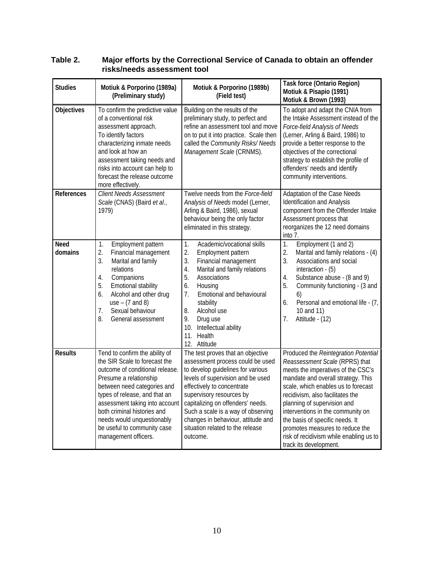| <b>Studies</b>         | Motiuk & Porporino (1989a)<br>(Preliminary study)                                                                                                                                                                                                                                                                                                  | Motiuk & Porporino (1989b)<br>(Field test)                                                                                                                                                                                                                                                                                                                                 | <b>Task force (Ontario Region)</b><br>Motiuk & Pisapio (1991)<br>Motiuk & Brown (1993)                                                                                                                                                                                                                                                                                                                                                       |
|------------------------|----------------------------------------------------------------------------------------------------------------------------------------------------------------------------------------------------------------------------------------------------------------------------------------------------------------------------------------------------|----------------------------------------------------------------------------------------------------------------------------------------------------------------------------------------------------------------------------------------------------------------------------------------------------------------------------------------------------------------------------|----------------------------------------------------------------------------------------------------------------------------------------------------------------------------------------------------------------------------------------------------------------------------------------------------------------------------------------------------------------------------------------------------------------------------------------------|
| <b>Objectives</b>      | To confirm the predictive value<br>of a conventional risk<br>assessment approach.<br>To identify factors<br>characterizing inmate needs<br>and look at how an<br>assessment taking needs and<br>risks into account can help to<br>forecast the release outcome<br>more effectively.                                                                | Building on the results of the<br>preliminary study, to perfect and<br>refine an assessment tool and move<br>on to put it into practice. Scale then<br>called the Community Risks/ Needs<br>Management Scale (CRNMS).                                                                                                                                                      | To adopt and adapt the CNIA from<br>the Intake Assessment instead of the<br>Force-field Analysis of Needs<br>(Lerner, Arling & Baird, 1986) to<br>provide a better response to the<br>objectives of the correctional<br>strategy to establish the profile of<br>offenders' needs and identify<br>community interventions.                                                                                                                    |
| <b>References</b>      | <b>Client Needs Assessment</b><br>Scale (CNAS) (Baird et al.,<br>1979)                                                                                                                                                                                                                                                                             | Twelve needs from the Force-field<br>Analysis of Needs model (Lerner,<br>Arling & Baird, 1986), sexual<br>behaviour being the only factor<br>eliminated in this strategy.                                                                                                                                                                                                  | Adaptation of the Case Needs<br><b>Identification and Analysis</b><br>component from the Offender Intake<br>Assessment process that<br>reorganizes the 12 need domains<br>into 7.                                                                                                                                                                                                                                                            |
| <b>Need</b><br>domains | Employment pattern<br>1.<br>2.<br>Financial management<br>3.<br>Marital and family<br>relations<br>Companions<br>4.<br>5.<br>Emotional stability<br>Alcohol and other drug<br>6.<br>use $-$ (7 and 8)<br>7.<br>Sexual behaviour<br>8.<br>General assessment                                                                                        | 1.<br>Academic/vocational skills<br>2.<br>Employment pattern<br>3.<br>Financial management<br>4.<br>Marital and family relations<br>5.<br>Associations<br>6.<br>Housing<br>Emotional and behavioural<br>7.<br>stability<br>Alcohol use<br>8.<br>9.<br>Drug use<br>10. Intellectual ability<br>11. Health<br>12. Attitude                                                   | 1.<br>Employment (1 and 2)<br>2.<br>Marital and family relations - (4)<br>3.<br>Associations and social<br>interaction $-$ (5)<br>Substance abuse - (8 and 9)<br>4.<br>5.<br>Community functioning - (3 and<br>6)<br>Personal and emotional life - (7,<br>6.<br>10 and 11)<br>7.<br>Attitude - (12)                                                                                                                                          |
| <b>Results</b>         | Tend to confirm the ability of<br>the SIR Scale to forecast the<br>outcome of conditional release.<br>Presume a relationship<br>between need categories and<br>types of release, and that an<br>assessment taking into account<br>both criminal histories and<br>needs would unquestionably<br>be useful to community case<br>management officers. | The test proves that an objective<br>assessment process could be used<br>to develop guidelines for various<br>levels of supervision and be used<br>effectively to concentrate<br>supervisory resources by<br>capitalizing on offenders' needs.<br>Such a scale is a way of observing<br>changes in behaviour, attitude and<br>situation related to the release<br>outcome. | Produced the Reintegration Potential<br>Reassessment Scale (RPRS) that<br>meets the imperatives of the CSC's<br>mandate and overall strategy. This<br>scale, which enables us to forecast<br>recidivism, also facilitates the<br>planning of supervision and<br>interventions in the community on<br>the basis of specific needs. It<br>promotes measures to reduce the<br>risk of recidivism while enabling us to<br>track its development. |

#### <span id="page-19-0"></span>**Table 2. Major efforts by the Correctional Service of Canada to obtain an offender risks/needs assessment tool**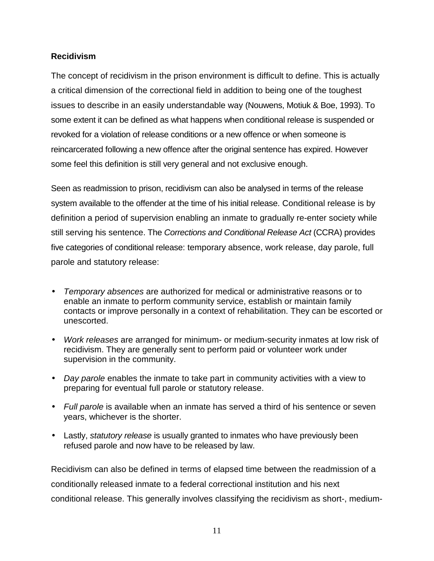### <span id="page-20-0"></span>**Recidivism**

The concept of recidivism in the prison environment is difficult to define. This is actually a critical dimension of the correctional field in addition to being one of the toughest issues to describe in an easily understandable way (Nouwens, Motiuk & Boe, 1993). To some extent it can be defined as what happens when conditional release is suspended or revoked for a violation of release conditions or a new offence or when someone is reincarcerated following a new offence after the original sentence has expired. However some feel this definition is still very general and not exclusive enough.

Seen as readmission to prison, recidivism can also be analysed in terms of the release system available to the offender at the time of his initial release. Conditional release is by definition a period of supervision enabling an inmate to gradually re-enter society while still serving his sentence. The *Corrections and Conditional Release Act* (CCRA) provides five categories of conditional release: temporary absence, work release, day parole, full parole and statutory release:

- *Temporary absences* are authorized for medical or administrative reasons or to enable an inmate to perform community service, establish or maintain family contacts or improve personally in a context of rehabilitation. They can be escorted or unescorted.
- *Work releases* are arranged for minimum- or medium-security inmates at low risk of recidivism. They are generally sent to perform paid or volunteer work under supervision in the community.
- *Day parole* enables the inmate to take part in community activities with a view to preparing for eventual full parole or statutory release.
- *Full parole* is available when an inmate has served a third of his sentence or seven years, whichever is the shorter.
- Lastly, *statutory release* is usually granted to inmates who have previously been refused parole and now have to be released by law.

Recidivism can also be defined in terms of elapsed time between the readmission of a conditionally released inmate to a federal correctional institution and his next conditional release. This generally involves classifying the recidivism as short-, medium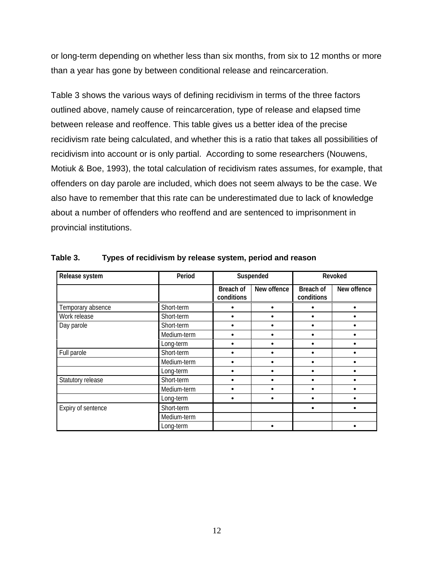<span id="page-21-0"></span>or long-term depending on whether less than six months, from six to 12 months or more than a year has gone by between conditional release and reincarceration.

Table 3 shows the various ways of defining recidivism in terms of the three factors outlined above, namely cause of reincarceration, type of release and elapsed time between release and reoffence. This table gives us a better idea of the precise recidivism rate being calculated, and whether this is a ratio that takes all possibilities of recidivism into account or is only partial. According to some researchers (Nouwens, Motiuk & Boe, 1993), the total calculation of recidivism rates assumes, for example, that offenders on day parole are included, which does not seem always to be the case. We also have to remember that this rate can be underestimated due to lack of knowledge about a number of offenders who reoffend and are sentenced to imprisonment in provincial institutions.

| Release system     | Period      |                                | Suspended   |                                | Revoked     |
|--------------------|-------------|--------------------------------|-------------|--------------------------------|-------------|
|                    |             | <b>Breach of</b><br>conditions | New offence | <b>Breach of</b><br>conditions | New offence |
| Temporary absence  | Short-term  |                                |             |                                |             |
| Work release       | Short-term  |                                |             |                                |             |
| Day parole         | Short-term  |                                |             |                                |             |
|                    | Medium-term |                                |             |                                |             |
|                    | Long-term   |                                |             |                                |             |
| Full parole        | Short-term  |                                |             |                                |             |
|                    | Medium-term |                                |             |                                |             |
|                    | Long-term   |                                |             |                                |             |
| Statutory release  | Short-term  |                                |             |                                |             |
|                    | Medium-term |                                |             |                                |             |
|                    | Long-term   |                                |             |                                |             |
| Expiry of sentence | Short-term  |                                |             |                                |             |
|                    | Medium-term |                                |             |                                |             |
|                    | Long-term   |                                |             |                                |             |

**Table 3. Types of recidivism by release system, period and reason**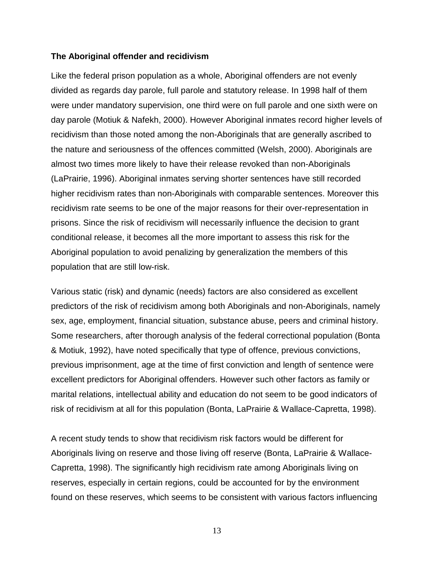#### <span id="page-22-0"></span>**The Aboriginal offender and recidivism**

Like the federal prison population as a whole, Aboriginal offenders are not evenly divided as regards day parole, full parole and statutory release. In 1998 half of them were under mandatory supervision, one third were on full parole and one sixth were on day parole (Motiuk & Nafekh, 2000). However Aboriginal inmates record higher levels of recidivism than those noted among the non-Aboriginals that are generally ascribed to the nature and seriousness of the offences committed (Welsh, 2000). Aboriginals are almost two times more likely to have their release revoked than non-Aboriginals (LaPrairie, 1996). Aboriginal inmates serving shorter sentences have still recorded higher recidivism rates than non-Aboriginals with comparable sentences. Moreover this recidivism rate seems to be one of the major reasons for their over-representation in prisons. Since the risk of recidivism will necessarily influence the decision to grant conditional release, it becomes all the more important to assess this risk for the Aboriginal population to avoid penalizing by generalization the members of this population that are still low-risk.

Various static (risk) and dynamic (needs) factors are also considered as excellent predictors of the risk of recidivism among both Aboriginals and non-Aboriginals, namely sex, age, employment, financial situation, substance abuse, peers and criminal history. Some researchers, after thorough analysis of the federal correctional population (Bonta & Motiuk, 1992), have noted specifically that type of offence, previous convictions, previous imprisonment, age at the time of first conviction and length of sentence were excellent predictors for Aboriginal offenders. However such other factors as family or marital relations, intellectual ability and education do not seem to be good indicators of risk of recidivism at all for this population (Bonta, LaPrairie & Wallace-Capretta, 1998).

A recent study tends to show that recidivism risk factors would be different for Aboriginals living on reserve and those living off reserve (Bonta, LaPrairie & Wallace-Capretta, 1998). The significantly high recidivism rate among Aboriginals living on reserves, especially in certain regions, could be accounted for by the environment found on these reserves, which seems to be consistent with various factors influencing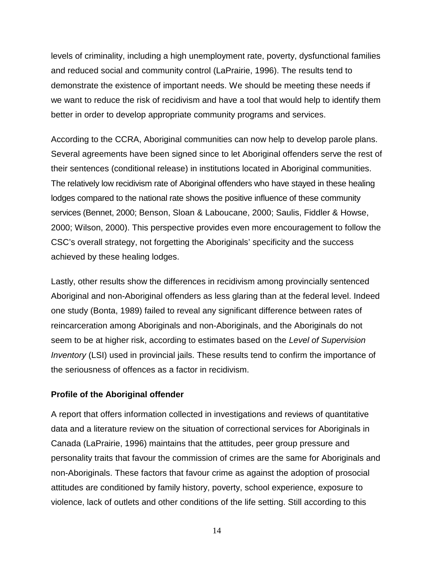<span id="page-23-0"></span>levels of criminality, including a high unemployment rate, poverty, dysfunctional families and reduced social and community control (LaPrairie, 1996). The results tend to demonstrate the existence of important needs. We should be meeting these needs if we want to reduce the risk of recidivism and have a tool that would help to identify them better in order to develop appropriate community programs and services.

According to the CCRA, Aboriginal communities can now help to develop parole plans. Several agreements have been signed since to let Aboriginal offenders serve the rest of their sentences (conditional release) in institutions located in Aboriginal communities. The relatively low recidivism rate of Aboriginal offenders who have stayed in these healing lodges compared to the national rate shows the positive influence of these community services (Bennet, 2000; Benson, Sloan & Laboucane, 2000; Saulis, Fiddler & Howse, 2000; Wilson, 2000). This perspective provides even more encouragement to follow the CSC's overall strategy, not forgetting the Aboriginals' specificity and the success achieved by these healing lodges.

Lastly, other results show the differences in recidivism among provincially sentenced Aboriginal and non-Aboriginal offenders as less glaring than at the federal level. Indeed one study (Bonta, 1989) failed to reveal any significant difference between rates of reincarceration among Aboriginals and non-Aboriginals, and the Aboriginals do not seem to be at higher risk, according to estimates based on the *Level of Supervision Inventory* (LSI) used in provincial jails. These results tend to confirm the importance of the seriousness of offences as a factor in recidivism.

### **Profile of the Aboriginal offender**

A report that offers information collected in investigations and reviews of quantitative data and a literature review on the situation of correctional services for Aboriginals in Canada (LaPrairie, 1996) maintains that the attitudes, peer group pressure and personality traits that favour the commission of crimes are the same for Aboriginals and non-Aboriginals. These factors that favour crime as against the adoption of prosocial attitudes are conditioned by family history, poverty, school experience, exposure to violence, lack of outlets and other conditions of the life setting. Still according to this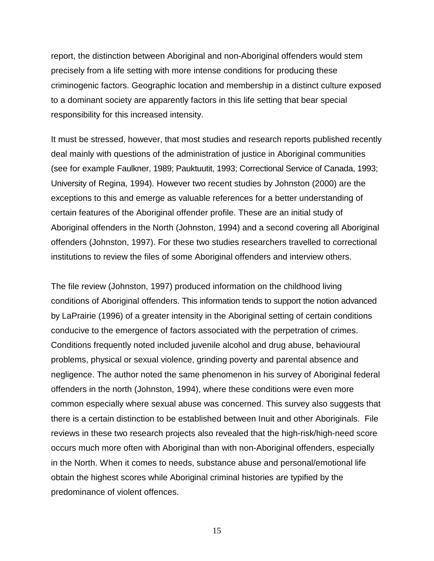report, the distinction between Aboriginal and non-Aboriginal offenders would stem precisely from a life setting with more intense conditions for producing these criminogenic factors. Geographic location and membership in a distinct culture exposed to a dominant society are apparently factors in this life setting that bear special responsibility for this increased intensity.

It must be stressed, however, that most studies and research reports published recently deal mainly with questions of the administration of justice in Aboriginal communities (see for example Faulkner, 1989; Pauktuutit, 1993; Correctional Service of Canada, 1993; University of Regina, 1994). However two recent studies by Johnston (2000) are the exceptions to this and emerge as valuable references for a better understanding of certain features of the Aboriginal offender profile. These are an initial study of Aboriginal offenders in the North (Johnston, 1994) and a second covering all Aboriginal offenders (Johnston, 1997). For these two studies researchers travelled to correctional institutions to review the files of some Aboriginal offenders and interview others.

The file review (Johnston, 1997) produced information on the childhood living conditions of Aboriginal offenders. This information tends to support the notion advanced by LaPrairie (1996) of a greater intensity in the Aboriginal setting of certain conditions conducive to the emergence of factors associated with the perpetration of crimes. Conditions frequently noted included juvenile alcohol and drug abuse, behavioural problems, physical or sexual violence, grinding poverty and parental absence and negligence. The author noted the same phenomenon in his survey of Aboriginal federal offenders in the north (Johnston, 1994), where these conditions were even more common especially where sexual abuse was concerned. This survey also suggests that there is a certain distinction to be established between Inuit and other Aboriginals. File reviews in these two research projects also revealed that the high-risk/high-need score occurs much more often with Aboriginal than with non-Aboriginal offenders, especially in the North. When it comes to needs, substance abuse and personal/emotional life obtain the highest scores while Aboriginal criminal histories are typified by the predominance of violent offences.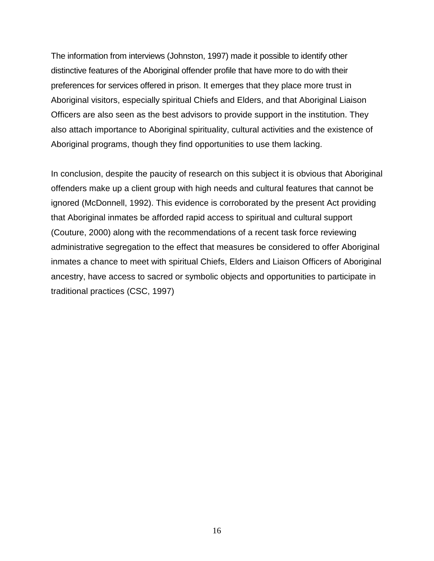The information from interviews (Johnston, 1997) made it possible to identify other distinctive features of the Aboriginal offender profile that have more to do with their preferences for services offered in prison. It emerges that they place more trust in Aboriginal visitors, especially spiritual Chiefs and Elders, and that Aboriginal Liaison Officers are also seen as the best advisors to provide support in the institution. They also attach importance to Aboriginal spirituality, cultural activities and the existence of Aboriginal programs, though they find opportunities to use them lacking.

In conclusion, despite the paucity of research on this subject it is obvious that Aboriginal offenders make up a client group with high needs and cultural features that cannot be ignored (McDonnell, 1992). This evidence is corroborated by the present Act providing that Aboriginal inmates be afforded rapid access to spiritual and cultural support (Couture, 2000) along with the recommendations of a recent task force reviewing administrative segregation to the effect that measures be considered to offer Aboriginal inmates a chance to meet with spiritual Chiefs, Elders and Liaison Officers of Aboriginal ancestry, have access to sacred or symbolic objects and opportunities to participate in traditional practices (CSC, 1997)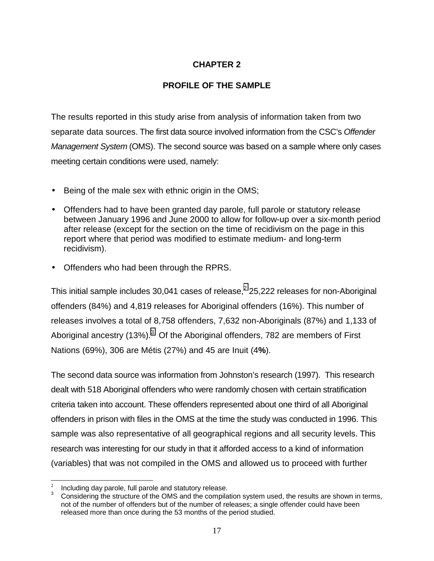# **CHAPTER 2**

# **PROFILE OF THE SAMPLE**

<span id="page-26-0"></span>The results reported in this study arise from analysis of information taken from two separate data sources. The first data source involved information from the CSC's *Offender Management System* (OMS). The second source was based on a sample where only cases meeting certain conditions were used, namely:

- Being of the male sex with ethnic origin in the OMS;
- Offenders had to have been granted day parole, full parole or statutory release between January 1996 and June 2000 to allow for follow-up over a six-month period after release (except for the section on the time of recidivism on the page in this report where that period was modified to estimate medium- and long-term recidivism).
- Offenders who had been through the RPRS.

This initial sample includes 30,041 cases of release,<sup>2</sup> 25,222 releases for non-Aboriginal offenders (84%) and 4,819 releases for Aboriginal offenders (16%). This number of releases involves a total of 8,758 offenders, 7,632 non-Aboriginals (87%) and 1,133 of Aboriginal ancestry (13%). $^3$  Of the Aboriginal offenders, 782 are members of First Nations (69%), 306 are Métis (27%) and 45 are Inuit (4**%**).

The second data source was information from Johnston's research (1997). This research dealt with 518 Aboriginal offenders who were randomly chosen with certain stratification criteria taken into account. These offenders represented about one third of all Aboriginal offenders in prison with files in the OMS at the time the study was conducted in 1996. This sample was also representative of all geographical regions and all security levels. This research was interesting for our study in that it afforded access to a kind of information (variables) that was not compiled in the OMS and allowed us to proceed with further

 $\overline{\phantom{a}}$ 

Including day parole, full parole and statutory release.<br>2 Considering the structure of the OMS and the compilation system used, the results are shown in terms, not of the number of offenders but of the number of releases; a single offender could have been released more than once during the 53 months of the period studied.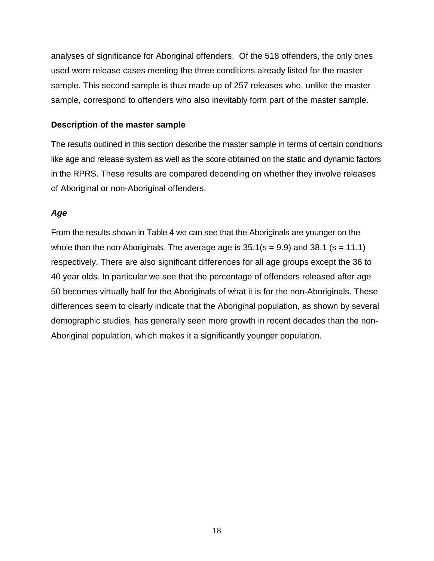<span id="page-27-0"></span>analyses of significance for Aboriginal offenders. Of the 518 offenders, the only ones used were release cases meeting the three conditions already listed for the master sample. This second sample is thus made up of 257 releases who, unlike the master sample, correspond to offenders who also inevitably form part of the master sample.

### **Description of the master sample**

The results outlined in this section describe the master sample in terms of certain conditions like age and release system as well as the score obtained on the static and dynamic factors in the RPRS. These results are compared depending on whether they involve releases of Aboriginal or non-Aboriginal offenders.

### *Age*

From the results shown in Table 4 we can see that the Aboriginals are younger on the whole than the non-Aboriginals. The average age is  $35.1$  (s = 9.9) and 38.1 (s = 11.1) respectively. There are also significant differences for all age groups except the 36 to 40 year olds. In particular we see that the percentage of offenders released after age 50 becomes virtually half for the Aboriginals of what it is for the non-Aboriginals. These differences seem to clearly indicate that the Aboriginal population, as shown by several demographic studies, has generally seen more growth in recent decades than the non-Aboriginal population, which makes it a significantly younger population.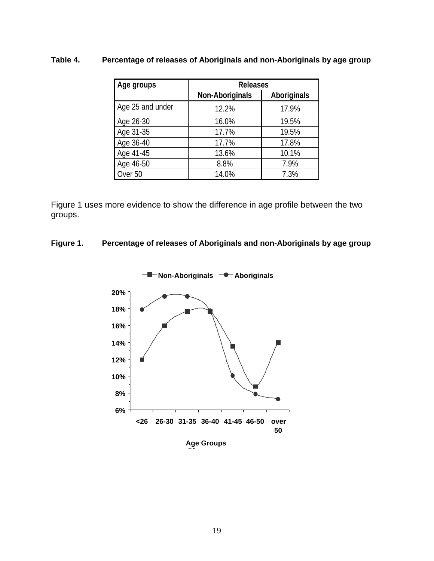# <span id="page-28-0"></span>**Table 4. Percentage of releases of Aboriginals and non-Aboriginals by age group**

| Age groups       | <b>Releases</b>        |                    |  |
|------------------|------------------------|--------------------|--|
|                  | <b>Non-Aboriginals</b> | <b>Aboriginals</b> |  |
| Age 25 and under | 12.2%                  | 17.9%              |  |
| Age 26-30        | 16.0%                  | 19.5%              |  |
| Age 31-35        | 17.7%                  | 19.5%              |  |
| Age 36-40        | 17.7%                  | 17.8%              |  |
| Age 41-45        | 13.6%                  | 10.1%              |  |
| Age 46-50        | 8.8%                   | 7.9%               |  |
| Over 50          | 14.0%                  | 7.3%               |  |

Figure 1 uses more evidence to show the difference in age profile between the two groups.

### **Figure 1. Percentage of releases of Aboriginals and non-Aboriginals by age group**



**Non-Aboriginals CONFIGUARY Aboriginals**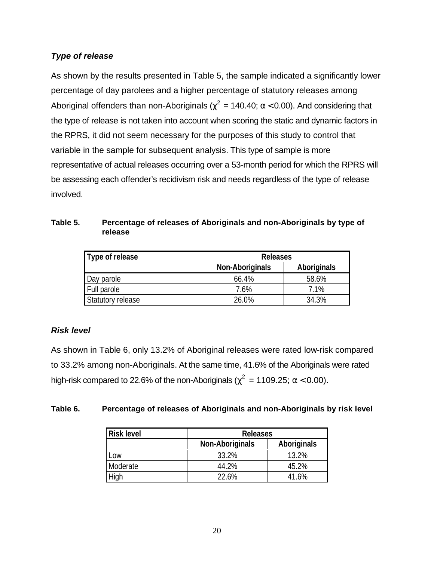# <span id="page-29-0"></span>*Type of release*

As shown by the results presented in Table 5, the sample indicated a significantly lower percentage of day parolees and a higher percentage of statutory releases among Aboriginal offenders than non-Aboriginals ( $\chi^2$  = 140.40; α < 0.00). And considering that the type of release is not taken into account when scoring the static and dynamic factors in the RPRS, it did not seem necessary for the purposes of this study to control that variable in the sample for subsequent analysis. This type of sample is more representative of actual releases occurring over a 53-month period for which the RPRS will be assessing each offender's recidivism risk and needs regardless of the type of release involved.

| Table 5. | Percentage of releases of Aboriginals and non-Aboriginals by type of |
|----------|----------------------------------------------------------------------|
|          | release                                                              |

| Type of release   | <b>Releases</b>        |                    |  |
|-------------------|------------------------|--------------------|--|
|                   | <b>Non-Aboriginals</b> | <b>Aboriginals</b> |  |
| Day parole        | 66.4%                  | 58.6%              |  |
| Full parole       | 7.6%                   | 7.1%               |  |
| Statutory release | 26.0%                  | 34.3%              |  |

# *Risk level*

As shown in Table 6, only 13.2% of Aboriginal releases were rated low-risk compared to 33.2% among non-Aboriginals. At the same time, 41.6% of the Aboriginals were rated high-risk compared to 22.6% of the non-Aboriginals ( $\chi^2 = 1109.25$ ;  $\alpha < 0.00$ ).

### **Table 6. Percentage of releases of Aboriginals and non-Aboriginals by risk level**

| <b>Risk level</b> | <b>Releases</b>        |             |  |
|-------------------|------------------------|-------------|--|
|                   | <b>Non-Aboriginals</b> | Aboriginals |  |
| .OW               | 33.2%                  | 13.2%       |  |
| Moderate          | 44.2%                  | 45.2%       |  |
|                   | 22.6%                  | 41.6%       |  |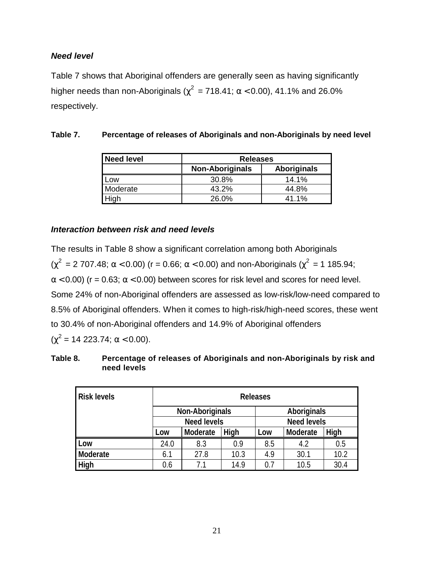### <span id="page-30-0"></span>*Need level*

Table 7 shows that Aboriginal offenders are generally seen as having significantly higher needs than non-Aboriginals ( $\chi^2$  = 718.41; α < 0.00), 41.1% and 26.0% respectively.

| <b>Need level</b> | <b>Releases</b>        |                    |
|-------------------|------------------------|--------------------|
|                   | <b>Non-Aboriginals</b> | <b>Aboriginals</b> |
| Low               | 30.8%                  | 14.1%              |
| Moderate          | 43.2%                  | 44.8%              |
| High              | 26.0%                  | 41.1%              |

# **Table 7. Percentage of releases of Aboriginals and non-Aboriginals by need level**

### *Interaction between risk and need levels*

The results in Table 8 show a significant correlation among both Aboriginals ( $\chi^2$  = 2 707.48; α < 0.00) (r = 0.66; α < 0.00) and non-Aboriginals ( $\chi^2$  = 1 185.94;  $\alpha$  < 0.00) (r = 0.63;  $\alpha$  < 0.00) between scores for risk level and scores for need level. Some 24% of non-Aboriginal offenders are assessed as low-risk/low-need compared to 8.5% of Aboriginal offenders. When it comes to high-risk/high-need scores, these went to 30.4% of non-Aboriginal offenders and 14.9% of Aboriginal offenders  $(\chi^2 = 14\,223.74; \alpha < 0.00).$ 

| Table 8. | Percentage of releases of Aboriginals and non-Aboriginals by risk and |
|----------|-----------------------------------------------------------------------|
|          | need levels                                                           |

| <b>Risk levels</b> | <b>Releases</b>                                    |                                              |      |     |      |      |
|--------------------|----------------------------------------------------|----------------------------------------------|------|-----|------|------|
|                    |                                                    | <b>Non-Aboriginals</b><br><b>Aboriginals</b> |      |     |      |      |
|                    |                                                    | <b>Need levels</b><br><b>Need levels</b>     |      |     |      |      |
|                    | High<br>High<br>Moderate<br>Moderate<br>Low<br>Low |                                              |      |     |      |      |
| Low                | 24.0                                               | 8.3                                          | 0.9  | 8.5 | 4.2  | 0.5  |
| <b>Moderate</b>    | 6.1                                                | 27.8                                         | 10.3 | 4.9 | 30.1 | 10.2 |
| High               | 0.6                                                | 71                                           | 14.9 | 0.7 | 10.5 | 30.4 |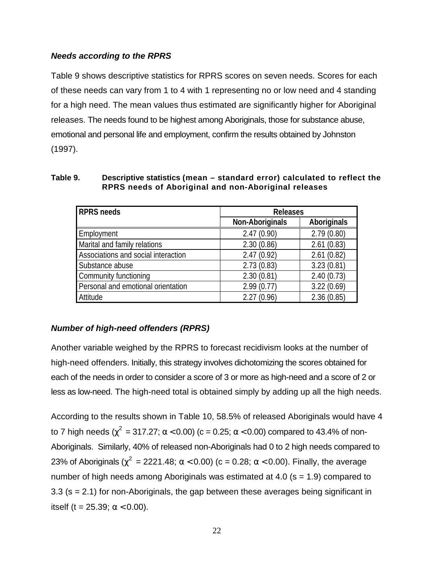### <span id="page-31-0"></span>*Needs according to the RPRS*

Table 9 shows descriptive statistics for RPRS scores on seven needs. Scores for each of these needs can vary from 1 to 4 with 1 representing no or low need and 4 standing for a high need. The mean values thus estimated are significantly higher for Aboriginal releases. The needs found to be highest among Aboriginals, those for substance abuse, emotional and personal life and employment, confirm the results obtained by Johnston (1997).

| <b>RPRS needs</b>                   | <b>Releases</b>        |                    |  |
|-------------------------------------|------------------------|--------------------|--|
|                                     | <b>Non-Aboriginals</b> | <b>Aboriginals</b> |  |
| Employment                          | 2.47(0.90)             | 2.79(0.80)         |  |
| Marital and family relations        | 2.30(0.86)             | 2.61(0.83)         |  |
| Associations and social interaction | 2.47(0.92)             | 2.61(0.82)         |  |
| Substance abuse                     | 2.73(0.83)             | 3.23(0.81)         |  |
| Community functioning               | 2.30(0.81)             | 2.40(0.73)         |  |
| Personal and emotional orientation  | 2.99(0.77)             | 3.22(0.69)         |  |
| Attitude                            | 2.27(0.96)             | 2.36(0.85)         |  |

#### **Table 9. Descriptive statistics (mean – standard error) calculated to reflect the RPRS needs of Aboriginal and non-Aboriginal releases**

# *Number of high-need offenders (RPRS)*

Another variable weighed by the RPRS to forecast recidivism looks at the number of high-need offenders. Initially, this strategy involves dichotomizing the scores obtained for each of the needs in order to consider a score of 3 or more as high-need and a score of 2 or less as low-need. The high-need total is obtained simply by adding up all the high needs.

According to the results shown in Table 10, 58.5% of released Aboriginals would have 4 to 7 high needs ( $\chi^2$  = 317.27; α < 0.00) (c = 0.25; α < 0.00) compared to 43.4% of non-Aboriginals. Similarly, 40% of released non-Aboriginals had 0 to 2 high needs compared to 23% of Aboriginals ( $\chi^2$  = 2221.48; α < 0.00) (c = 0.28; α < 0.00). Finally, the average number of high needs among Aboriginals was estimated at 4.0 ( $s = 1.9$ ) compared to 3.3 (s = 2.1) for non-Aboriginals, the gap between these averages being significant in itself (t = 25.39;  $\alpha$  < 0.00).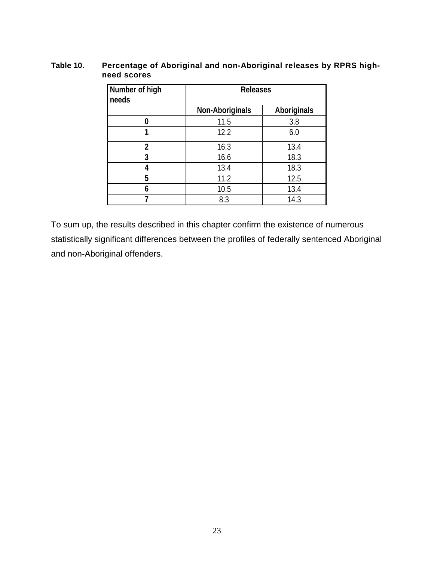### <span id="page-32-0"></span>**Table 10. Percentage of Aboriginal and non-Aboriginal releases by RPRS highneed scores**

| Number of high<br>needs | <b>Releases</b>        |                    |  |
|-------------------------|------------------------|--------------------|--|
|                         | <b>Non-Aboriginals</b> | <b>Aboriginals</b> |  |
|                         | 11.5                   | 3.8                |  |
|                         | 12.2                   | 6.0                |  |
| $\overline{2}$          | 16.3                   | 13.4               |  |
| 3                       | 16.6                   | 18.3               |  |
|                         | 13.4                   | 18.3               |  |
| 5                       | 11.2                   | 12.5               |  |
| 6                       | 10.5                   | 13.4               |  |
|                         | 8.3                    | 14.3               |  |

To sum up, the results described in this chapter confirm the existence of numerous statistically significant differences between the profiles of federally sentenced Aboriginal and non-Aboriginal offenders.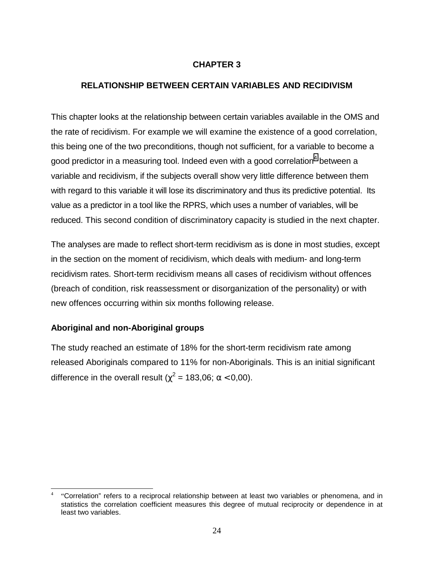### **CHAPTER 3**

### <span id="page-33-0"></span>**RELATIONSHIP BETWEEN CERTAIN VARIABLES AND RECIDIVISM**

This chapter looks at the relationship between certain variables available in the OMS and the rate of recidivism. For example we will examine the existence of a good correlation, this being one of the two preconditions, though not sufficient, for a variable to become a good predictor in a measuring tool. Indeed even with a good correlation $^{\rm 4}$  between a variable and recidivism, if the subjects overall show very little difference between them with regard to this variable it will lose its discriminatory and thus its predictive potential. Its value as a predictor in a tool like the RPRS, which uses a number of variables, will be reduced. This second condition of discriminatory capacity is studied in the next chapter.

The analyses are made to reflect short-term recidivism as is done in most studies, except in the section on the moment of recidivism, which deals with medium- and long-term recidivism rates. Short-term recidivism means all cases of recidivism without offences (breach of condition, risk reassessment or disorganization of the personality) or with new offences occurring within six months following release.

### **Aboriginal and non-Aboriginal groups**

The study reached an estimate of 18% for the short-term recidivism rate among released Aboriginals compared to 11% for non-Aboriginals. This is an initial significant difference in the overall result ( $\chi^2$  = 183,06;  $\alpha$  < 0,00).

 $\overline{a}$ <sup>4</sup> "Correlation" refers to a reciprocal relationship between at least two variables or phenomena, and in statistics the correlation coefficient measures this degree of mutual reciprocity or dependence in at least two variables.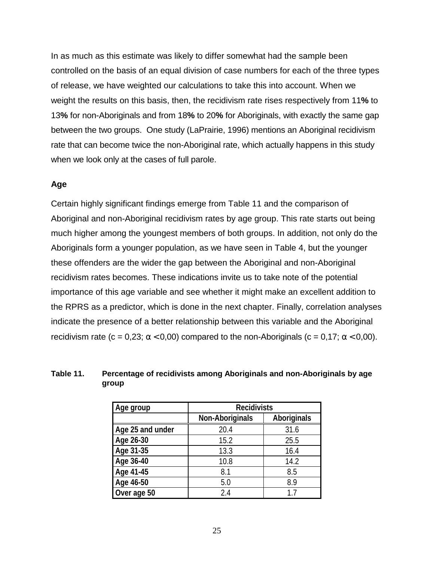<span id="page-34-0"></span>In as much as this estimate was likely to differ somewhat had the sample been controlled on the basis of an equal division of case numbers for each of the three types of release, we have weighted our calculations to take this into account. When we weight the results on this basis, then, the recidivism rate rises respectively from 11**%** to 13**%** for non-Aboriginals and from 18**%** to 20**%** for Aboriginals, with exactly the same gap between the two groups. One study (LaPrairie, 1996) mentions an Aboriginal recidivism rate that can become twice the non-Aboriginal rate, which actually happens in this study when we look only at the cases of full parole.

### **Age**

Certain highly significant findings emerge from Table 11 and the comparison of Aboriginal and non-Aboriginal recidivism rates by age group. This rate starts out being much higher among the youngest members of both groups. In addition, not only do the Aboriginals form a younger population, as we have seen in Table 4, but the younger these offenders are the wider the gap between the Aboriginal and non-Aboriginal recidivism rates becomes. These indications invite us to take note of the potential importance of this age variable and see whether it might make an excellent addition to the RPRS as a predictor, which is done in the next chapter. Finally, correlation analyses indicate the presence of a better relationship between this variable and the Aboriginal recidivism rate (c = 0,23;  $\alpha$  < 0,00) compared to the non-Aboriginals (c = 0,17;  $\alpha$  < 0,00).

#### **Table 11. Percentage of recidivists among Aboriginals and non-Aboriginals by age group**

| Age group        | <b>Recidivists</b>                    |      |  |
|------------------|---------------------------------------|------|--|
|                  | <b>Non-Aboriginals</b><br>Aboriginals |      |  |
| Age 25 and under | 20.4                                  | 31.6 |  |
| Age 26-30        | 15.2                                  | 25.5 |  |
| Age 31-35        | 13.3                                  | 16.4 |  |
| Age 36-40        | 10.8                                  | 14.2 |  |
| Age 41-45        | 8.1                                   | 8.5  |  |
| Age 46-50        | 5.0                                   | 8.9  |  |
| Over age 50      | 2.4                                   | 17   |  |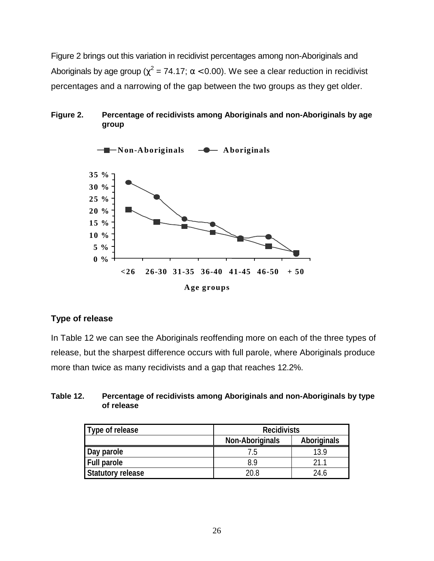<span id="page-35-0"></span>Figure 2 brings out this variation in recidivist percentages among non-Aboriginals and Aboriginals by age group ( $\chi^2$  = 74.17; α < 0.00). We see a clear reduction in recidivist percentages and a narrowing of the gap between the two groups as they get older.

### **Figure 2. Percentage of recidivists among Aboriginals and non-Aboriginals by age group**



### **Type of release**

In Table 12 we can see the Aboriginals reoffending more on each of the three types of release, but the sharpest difference occurs with full parole, where Aboriginals produce more than twice as many recidivists and a gap that reaches 12.2%.

#### **Table 12. Percentage of recidivists among Aboriginals and non-Aboriginals by type of release**

| Type of release          | <b>Recidivists</b>                           |      |  |  |
|--------------------------|----------------------------------------------|------|--|--|
|                          | <b>Aboriginals</b><br><b>Non-Aboriginals</b> |      |  |  |
| Day parole               |                                              | 13.9 |  |  |
| <b>Full parole</b>       | 89                                           | 21 1 |  |  |
| <b>Statutory release</b> | 20.8                                         | 24.6 |  |  |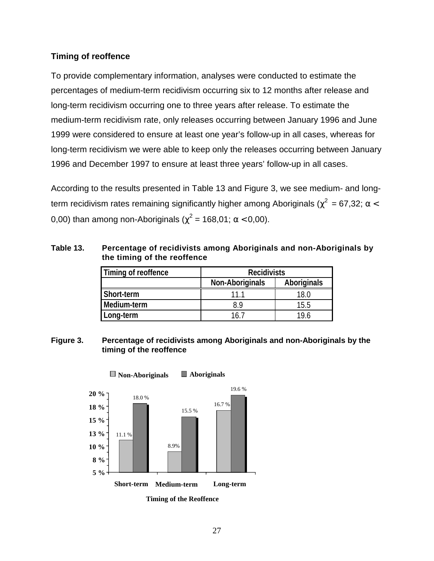# <span id="page-36-0"></span>**Timing of reoffence**

To provide complementary information, analyses were conducted to estimate the percentages of medium-term recidivism occurring six to 12 months after release and long-term recidivism occurring one to three years after release. To estimate the medium-term recidivism rate, only releases occurring between January 1996 and June 1999 were considered to ensure at least one year's follow-up in all cases, whereas for long-term recidivism we were able to keep only the releases occurring between January 1996 and December 1997 to ensure at least three years' follow-up in all cases.

According to the results presented in Table 13 and Figure 3, we see medium- and longterm recidivism rates remaining significantly higher among Aboriginals ( $\chi^2$  = 67,32; α < 0,00) than among non-Aboriginals ( $\chi^2$  = 168,01;  $\alpha$  < 0,00).

### **Table 13. Percentage of recidivists among Aboriginals and non-Aboriginals by the timing of the reoffence**

| Timing of reoffence | <b>Recidivists</b>                           |      |  |
|---------------------|----------------------------------------------|------|--|
|                     | <b>Aboriginals</b><br><b>Non-Aboriginals</b> |      |  |
| Short-term          | 11 1                                         | 18.0 |  |
| Medium-term         | 89                                           | 15.5 |  |
| Long-term           | 16 7                                         | 19 6 |  |

#### **Figure 3. Percentage of recidivists among Aboriginals and non-Aboriginals by the timing of the reoffence**



**Timing of the Reoffence**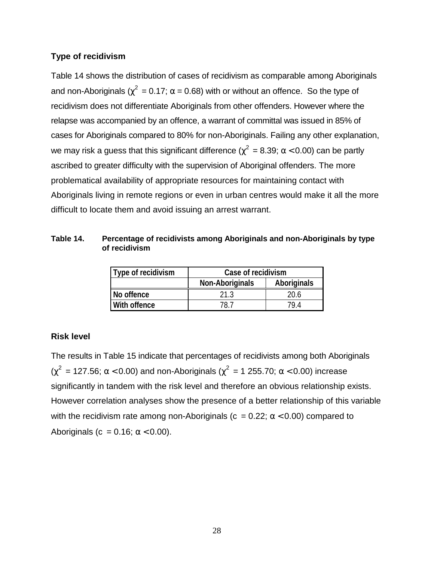### <span id="page-37-0"></span>**Type of recidivism**

Table 14 shows the distribution of cases of recidivism as comparable among Aboriginals and non-Aboriginals ( $\chi^2$  = 0.17; α = 0.68) with or without an offence. So the type of recidivism does not differentiate Aboriginals from other offenders. However where the relapse was accompanied by an offence, a warrant of committal was issued in 85% of cases for Aboriginals compared to 80% for non-Aboriginals. Failing any other explanation, we may risk a guess that this significant difference ( $\chi^2$  = 8.39; α < 0.00) can be partly ascribed to greater difficulty with the supervision of Aboriginal offenders. The more problematical availability of appropriate resources for maintaining contact with Aboriginals living in remote regions or even in urban centres would make it all the more difficult to locate them and avoid issuing an arrest warrant.

#### **Table 14. Percentage of recidivists among Aboriginals and non-Aboriginals by type of recidivism**

| Type of recidivism | Case of recidivism                    |      |  |  |
|--------------------|---------------------------------------|------|--|--|
|                    | Aboriginals<br><b>Non-Aboriginals</b> |      |  |  |
| No offence         | 21.3                                  | 20.6 |  |  |
| With offence       | 79 4<br>78 7                          |      |  |  |

# **Risk level**

The results in Table 15 indicate that percentages of recidivists among both Aboriginals ( $\chi^2$  = 127.56; α < 0.00) and non-Aboriginals ( $\chi^2$  = 1 255.70; α < 0.00) increase significantly in tandem with the risk level and therefore an obvious relationship exists. However correlation analyses show the presence of a better relationship of this variable with the recidivism rate among non-Aboriginals ( $c = 0.22$ ;  $\alpha < 0.00$ ) compared to Aboriginals (c =  $0.16$ ;  $\alpha$  < 0.00).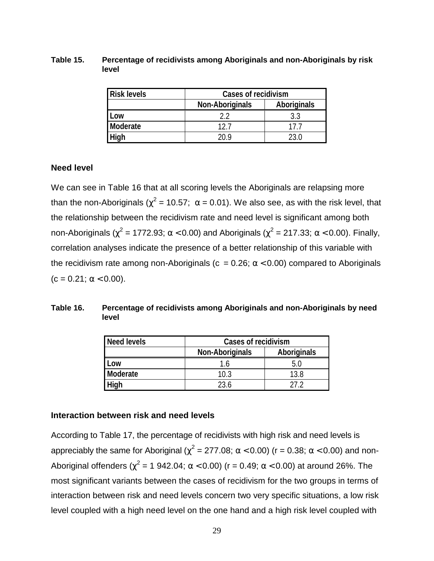<span id="page-38-0"></span>**Table 15. Percentage of recidivists among Aboriginals and non-Aboriginals by risk level**

| <b>Risk levels</b> | <b>Cases of recidivism</b> |             |  |
|--------------------|----------------------------|-------------|--|
|                    | <b>Non-Aboriginals</b>     | Aboriginals |  |
| Low                |                            | 3.3         |  |
| Moderate           | 12 <sub>l</sub>            |             |  |
| High               | ንበ ዐ                       | 23.0        |  |

#### **Need level**

We can see in Table 16 that at all scoring levels the Aboriginals are relapsing more than the non-Aboriginals ( $\chi^2$  = 10.57; α = 0.01). We also see, as with the risk level, that the relationship between the recidivism rate and need level is significant among both non-Aboriginals ( $\chi^2$  = 1772.93; α < 0.00) and Aboriginals ( $\chi^2$  = 217.33; α < 0.00). Finally, correlation analyses indicate the presence of a better relationship of this variable with the recidivism rate among non-Aboriginals ( $c = 0.26$ ;  $\alpha < 0.00$ ) compared to Aboriginals  $(c = 0.21; \alpha < 0.00).$ 

#### **Table 16. Percentage of recidivists among Aboriginals and non-Aboriginals by need level**

| Need levels | <b>Cases of recidivism</b>                   |      |  |  |
|-------------|----------------------------------------------|------|--|--|
|             | <b>Aboriginals</b><br><b>Non-Aboriginals</b> |      |  |  |
| Low         | 1.6                                          |      |  |  |
| Moderate    | 10.3                                         | 13.8 |  |  |
| High        | 236                                          |      |  |  |

### **Interaction between risk and need levels**

According to Table 17, the percentage of recidivists with high risk and need levels is appreciably the same for Aboriginal ( $\chi^2$  = 277.08; α < 0.00) (r = 0.38; α < 0.00) and non-Aboriginal offenders ( $\chi^2$  = 1 942.04; α < 0.00) (r = 0.49; α < 0.00) at around 26%. The most significant variants between the cases of recidivism for the two groups in terms of interaction between risk and need levels concern two very specific situations, a low risk level coupled with a high need level on the one hand and a high risk level coupled with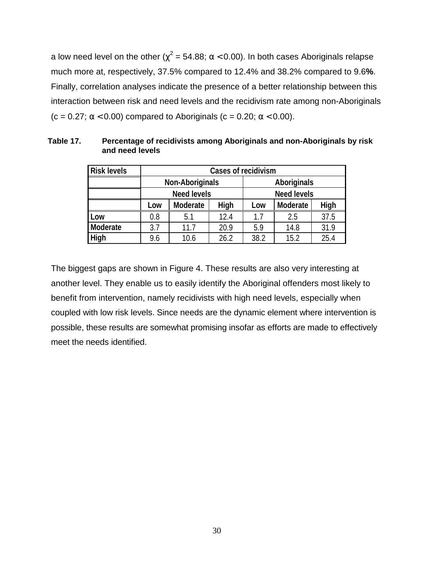<span id="page-39-0"></span>a low need level on the other ( $\chi^2$  = 54.88; α < 0.00). In both cases Aboriginals relapse much more at, respectively, 37.5% compared to 12.4% and 38.2% compared to 9.6**%**. Finally, correlation analyses indicate the presence of a better relationship between this interaction between risk and need levels and the recidivism rate among non-Aboriginals (c = 0.27;  $\alpha$  < 0.00) compared to Aboriginals (c = 0.20;  $\alpha$  < 0.00).

| <b>Risk levels</b> | <b>Cases of recidivism</b> |                                       |      |      |                    |      |  |
|--------------------|----------------------------|---------------------------------------|------|------|--------------------|------|--|
|                    |                            | <b>Non-Aboriginals</b><br>Aboriginals |      |      |                    |      |  |
|                    |                            | <b>Need levels</b>                    |      |      | <b>Need levels</b> |      |  |
|                    | Low                        | Moderate                              | High | Low  | Moderate           | High |  |
| Low                | 0.8                        | 5.1                                   | 12.4 | 1.7  | 2.5                | 37.5 |  |
| Moderate           | 3.7                        | 11.7                                  | 20.9 | 5.9  | 14.8               | 31.9 |  |
| High               | 9.6                        | 10.6                                  | 26.2 | 38.2 | 15.2               | 25.4 |  |

**Table 17. Percentage of recidivists among Aboriginals and non-Aboriginals by risk and need levels**

The biggest gaps are shown in Figure 4. These results are also very interesting at another level. They enable us to easily identify the Aboriginal offenders most likely to benefit from intervention, namely recidivists with high need levels, especially when coupled with low risk levels. Since needs are the dynamic element where intervention is possible, these results are somewhat promising insofar as efforts are made to effectively meet the needs identified.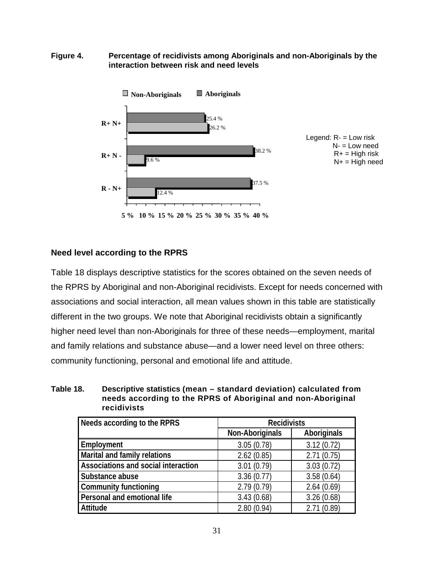<span id="page-40-0"></span>**Figure 4. Percentage of recidivists among Aboriginals and non-Aboriginals by the interaction between risk and need levels**



### **Need level according to the RPRS**

Table 18 displays descriptive statistics for the scores obtained on the seven needs of the RPRS by Aboriginal and non-Aboriginal recidivists. Except for needs concerned with associations and social interaction, all mean values shown in this table are statistically different in the two groups. We note that Aboriginal recidivists obtain a significantly higher need level than non-Aboriginals for three of these needs—employment, marital and family relations and substance abuse—and a lower need level on three others: community functioning, personal and emotional life and attitude.

| Table 18. | Descriptive statistics (mean – standard deviation) calculated from |
|-----------|--------------------------------------------------------------------|
|           | needs according to the RPRS of Aboriginal and non-Aboriginal       |
|           | <b>recidivists</b>                                                 |

| Needs according to the RPRS         | <b>Recidivists</b>     |                    |  |
|-------------------------------------|------------------------|--------------------|--|
|                                     | <b>Non-Aboriginals</b> | <b>Aboriginals</b> |  |
| Employment                          | 3.05(0.78)             | 3.12(0.72)         |  |
| Marital and family relations        | 2.62(0.85)             | 2.71(0.75)         |  |
| Associations and social interaction | 3.01(0.79)             | 3.03(0.72)         |  |
| Substance abuse                     | 3.36(0.77)             | 3.58(0.64)         |  |
| <b>Community functioning</b>        | 2.79(0.79)             | 2.64(0.69)         |  |
| Personal and emotional life         | 3.43(0.68)             | 3.26(0.68)         |  |
| Attitude                            | 2.80(0.94)             | 2.71(0.89)         |  |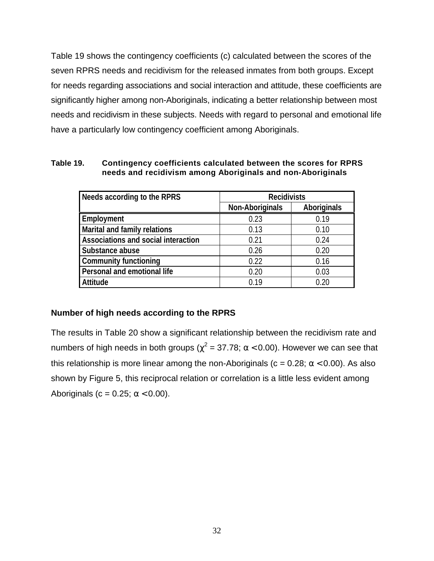<span id="page-41-0"></span>Table 19 shows the contingency coefficients (c) calculated between the scores of the seven RPRS needs and recidivism for the released inmates from both groups. Except for needs regarding associations and social interaction and attitude, these coefficients are significantly higher among non-Aboriginals, indicating a better relationship between most needs and recidivism in these subjects. Needs with regard to personal and emotional life have a particularly low contingency coefficient among Aboriginals.

**Table 19. Contingency coefficients calculated between the scores for RPRS needs and recidivism among Aboriginals and non-Aboriginals**

| Needs according to the RPRS         | <b>Recidivists</b>     |                    |  |
|-------------------------------------|------------------------|--------------------|--|
|                                     | <b>Non-Aboriginals</b> | <b>Aboriginals</b> |  |
| Employment                          | 0.23                   | 0.19               |  |
| <b>Marital and family relations</b> | 0.13                   | 0.10               |  |
| Associations and social interaction | 0.21                   | 0.24               |  |
| Substance abuse                     | 0.26                   | 0.20               |  |
| <b>Community functioning</b>        | 0.22                   | 0.16               |  |
| Personal and emotional life         | 0.20                   | 0.03               |  |
| <b>Attitude</b>                     | በ 19                   | 0.20               |  |

### **Number of high needs according to the RPRS**

The results in Table 20 show a significant relationship between the recidivism rate and numbers of high needs in both groups ( $\chi^2$  = 37.78; α < 0.00). However we can see that this relationship is more linear among the non-Aboriginals ( $c = 0.28$ ;  $\alpha < 0.00$ ). As also shown by Figure 5, this reciprocal relation or correlation is a little less evident among Aboriginals (c = 0.25;  $\alpha$  < 0.00).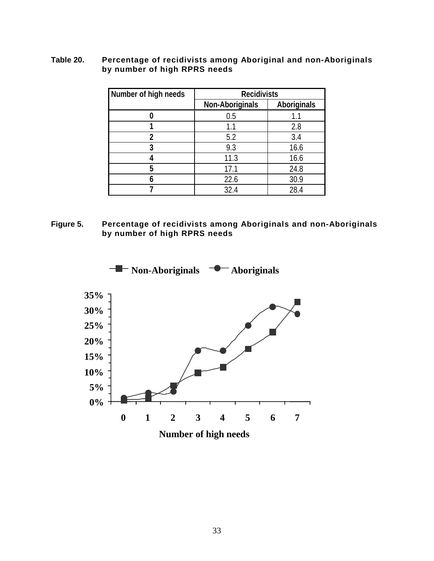#### <span id="page-42-0"></span>**Table 20. Percentage of recidivists among Aboriginal and non-Aboriginals by number of high RPRS needs**

| Number of high needs | <b>Recidivists</b>     |                    |  |  |  |
|----------------------|------------------------|--------------------|--|--|--|
|                      | <b>Non-Aboriginals</b> | <b>Aboriginals</b> |  |  |  |
|                      | 0.5                    | 1.1                |  |  |  |
|                      | 1.1                    | 2.8                |  |  |  |
| 2                    | 5.2                    | 3.4                |  |  |  |
| 3                    | 9.3                    | 16.6               |  |  |  |
|                      | 11.3                   | 16.6               |  |  |  |
| 5                    | 17.1                   | 24.8               |  |  |  |
|                      | 22.6                   | 30.9               |  |  |  |
|                      | 32.4                   | 28.4               |  |  |  |

### **Figure 5. Percentage of recidivists among Aboriginals and non-Aboriginals by number of high RPRS needs**

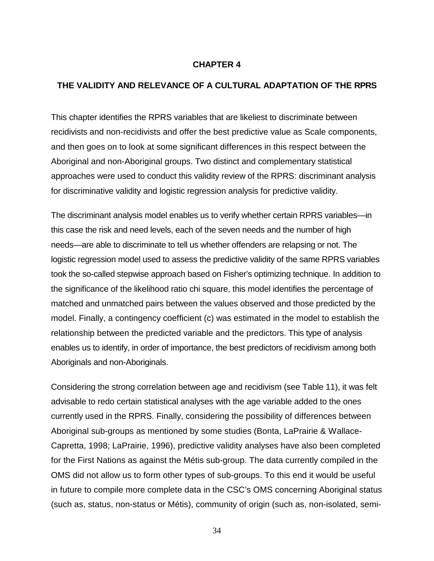#### **CHAPTER 4**

#### <span id="page-43-0"></span>**THE VALIDITY AND RELEVANCE OF A CULTURAL ADAPTATION OF THE RPRS**

This chapter identifies the RPRS variables that are likeliest to discriminate between recidivists and non-recidivists and offer the best predictive value as Scale components, and then goes on to look at some significant differences in this respect between the Aboriginal and non-Aboriginal groups. Two distinct and complementary statistical approaches were used to conduct this validity review of the RPRS: discriminant analysis for discriminative validity and logistic regression analysis for predictive validity.

The discriminant analysis model enables us to verify whether certain RPRS variables—in this case the risk and need levels, each of the seven needs and the number of high needs—are able to discriminate to tell us whether offenders are relapsing or not. The logistic regression model used to assess the predictive validity of the same RPRS variables took the so-called stepwise approach based on Fisher's optimizing technique. In addition to the significance of the likelihood ratio chi square, this model identifies the percentage of matched and unmatched pairs between the values observed and those predicted by the model. Finally, a contingency coefficient (c) was estimated in the model to establish the relationship between the predicted variable and the predictors. This type of analysis enables us to identify, in order of importance, the best predictors of recidivism among both Aboriginals and non-Aboriginals.

Considering the strong correlation between age and recidivism (see Table 11), it was felt advisable to redo certain statistical analyses with the age variable added to the ones currently used in the RPRS. Finally, considering the possibility of differences between Aboriginal sub-groups as mentioned by some studies (Bonta, LaPrairie & Wallace-Capretta, 1998; LaPrairie, 1996), predictive validity analyses have also been completed for the First Nations as against the Métis sub-group. The data currently compiled in the OMS did not allow us to form other types of sub-groups. To this end it would be useful in future to compile more complete data in the CSC's OMS concerning Aboriginal status (such as, status, non-status or Métis), community of origin (such as, non-isolated, semi-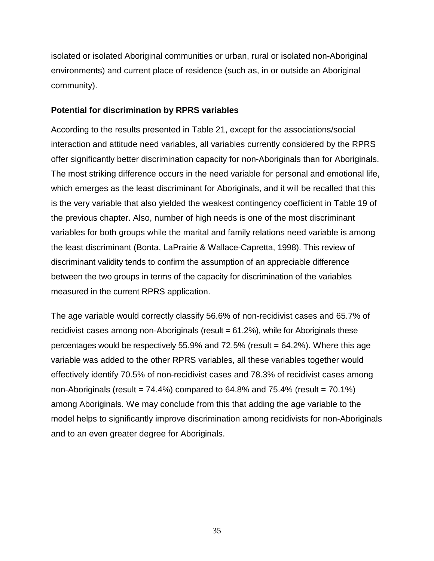<span id="page-44-0"></span>isolated or isolated Aboriginal communities or urban, rural or isolated non-Aboriginal environments) and current place of residence (such as, in or outside an Aboriginal community).

### **Potential for discrimination by RPRS variables**

According to the results presented in Table 21, except for the associations/social interaction and attitude need variables, all variables currently considered by the RPRS offer significantly better discrimination capacity for non-Aboriginals than for Aboriginals. The most striking difference occurs in the need variable for personal and emotional life, which emerges as the least discriminant for Aboriginals, and it will be recalled that this is the very variable that also yielded the weakest contingency coefficient in Table 19 of the previous chapter. Also, number of high needs is one of the most discriminant variables for both groups while the marital and family relations need variable is among the least discriminant (Bonta, LaPrairie & Wallace-Capretta, 1998). This review of discriminant validity tends to confirm the assumption of an appreciable difference between the two groups in terms of the capacity for discrimination of the variables measured in the current RPRS application.

The age variable would correctly classify 56.6% of non-recidivist cases and 65.7% of recidivist cases among non-Aboriginals (result = 61.2%), while for Aboriginals these percentages would be respectively 55.9% and 72.5% (result = 64.2%). Where this age variable was added to the other RPRS variables, all these variables together would effectively identify 70.5% of non-recidivist cases and 78.3% of recidivist cases among non-Aboriginals (result =  $74.4\%$ ) compared to  $64.8\%$  and  $75.4\%$  (result =  $70.1\%$ ) among Aboriginals. We may conclude from this that adding the age variable to the model helps to significantly improve discrimination among recidivists for non-Aboriginals and to an even greater degree for Aboriginals.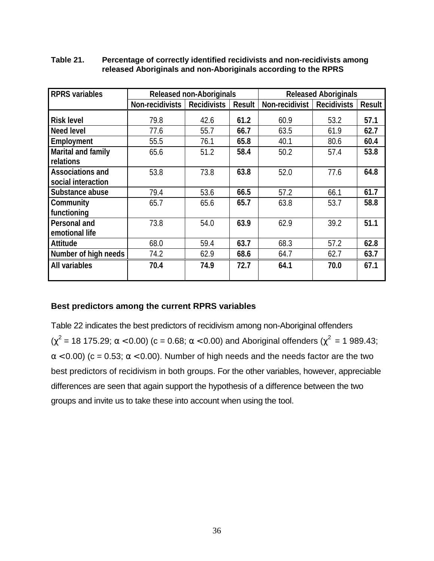| <b>RPRS</b> variables     |                 | <b>Released non-Aboriginals</b> |               |                | <b>Released Aboriginals</b> |               |
|---------------------------|-----------------|---------------------------------|---------------|----------------|-----------------------------|---------------|
|                           | Non-recidivists | <b>Recidivists</b>              | <b>Result</b> | Non-recidivist | <b>Recidivists</b>          | <b>Result</b> |
| <b>Risk level</b>         | 79.8            | 42.6                            | 61.2          | 60.9           | 53.2                        | 57.1          |
| <b>Need level</b>         | 77.6            | 55.7                            | 66.7          | 63.5           | 61.9                        | 62.7          |
| Employment                | 55.5            | 76.1                            | 65.8          | 40.1           | 80.6                        | 60.4          |
| <b>Marital and family</b> | 65.6            | 51.2                            | 58.4          | 50.2           | 57.4                        | 53.8          |
| relations                 |                 |                                 |               |                |                             |               |
| <b>Associations and</b>   | 53.8            | 73.8                            | 63.8          | 52.0           | 77.6                        | 64.8          |
| social interaction        |                 |                                 |               |                |                             |               |
| Substance abuse           | 79.4            | 53.6                            | 66.5          | 57.2           | 66.1                        | 61.7          |
| Community                 | 65.7            | 65.6                            | 65.7          | 63.8           | 53.7                        | 58.8          |
| functioning               |                 |                                 |               |                |                             |               |
| Personal and              | 73.8            | 54.0                            | 63.9          | 62.9           | 39.2                        | 51.1          |
| emotional life            |                 |                                 |               |                |                             |               |
| <b>Attitude</b>           | 68.0            | 59.4                            | 63.7          | 68.3           | 57.2                        | 62.8          |
| Number of high needs      | 74.2            | 62.9                            | 68.6          | 64.7           | 62.7                        | 63.7          |
| All variables             | 70.4            | 74.9                            | 72.7          | 64.1           | 70.0                        | 67.1          |
|                           |                 |                                 |               |                |                             |               |

#### <span id="page-45-0"></span>**Table 21. Percentage of correctly identified recidivists and non-recidivists among released Aboriginals and non-Aboriginals according to the RPRS**

# **Best predictors among the current RPRS variables**

Table 22 indicates the best predictors of recidivism among non-Aboriginal offenders (χ<sup>2</sup> = 18 175.29; α < 0.00) (c = 0.68; α < 0.00) and Aboriginal offenders (χ<sup>2</sup> = 1 989.43;  $\alpha$  < 0.00) (c = 0.53;  $\alpha$  < 0.00). Number of high needs and the needs factor are the two best predictors of recidivism in both groups. For the other variables, however, appreciable differences are seen that again support the hypothesis of a difference between the two groups and invite us to take these into account when using the tool.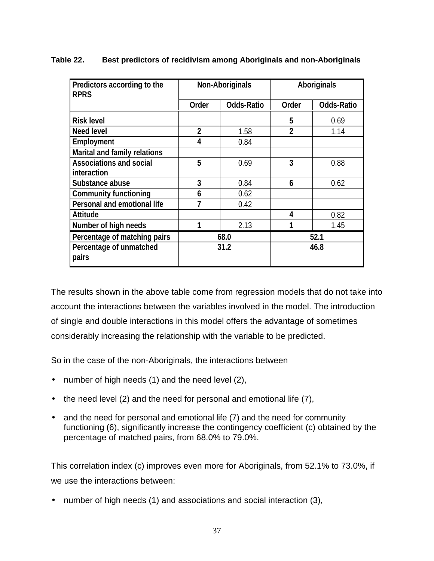| Predictors according to the<br><b>RPRS</b> | <b>Non-Aboriginals</b> |                   | <b>Aboriginals</b> |                   |
|--------------------------------------------|------------------------|-------------------|--------------------|-------------------|
|                                            | <b>Order</b>           | <b>Odds-Ratio</b> | Order              | <b>Odds-Ratio</b> |
| <b>Risk level</b>                          |                        |                   | 5                  | 0.69              |
| <b>Need level</b>                          | $\overline{2}$         | 1.58              | $\overline{2}$     | 1.14              |
| Employment                                 | 4                      | 0.84              |                    |                   |
| <b>Marital and family relations</b>        |                        |                   |                    |                   |
| <b>Associations and social</b>             | 5                      | 0.69              | 3                  | 0.88              |
| interaction                                |                        |                   |                    |                   |
| Substance abuse                            | 3                      | 0.84              | 6                  | 0.62              |
| <b>Community functioning</b>               | 6                      | 0.62              |                    |                   |
| <b>Personal and emotional life</b>         |                        | 0.42              |                    |                   |
| <b>Attitude</b>                            |                        |                   | 4                  | 0.82              |
| Number of high needs                       |                        | 2.13              |                    | 1.45              |
| Percentage of matching pairs               | 68.0                   |                   | 52.1               |                   |
| Percentage of unmatched                    | 31.2                   |                   | 46.8               |                   |
| pairs                                      |                        |                   |                    |                   |

### <span id="page-46-0"></span>**Table 22. Best predictors of recidivism among Aboriginals and non-Aboriginals**

The results shown in the above table come from regression models that do not take into account the interactions between the variables involved in the model. The introduction of single and double interactions in this model offers the advantage of sometimes considerably increasing the relationship with the variable to be predicted.

So in the case of the non-Aboriginals, the interactions between

- number of high needs (1) and the need level (2),
- the need level (2) and the need for personal and emotional life (7),
- and the need for personal and emotional life (7) and the need for community functioning (6), significantly increase the contingency coefficient (c) obtained by the percentage of matched pairs, from 68.0% to 79.0%.

This correlation index (c) improves even more for Aboriginals, from 52.1% to 73.0%, if we use the interactions between:

• number of high needs (1) and associations and social interaction (3),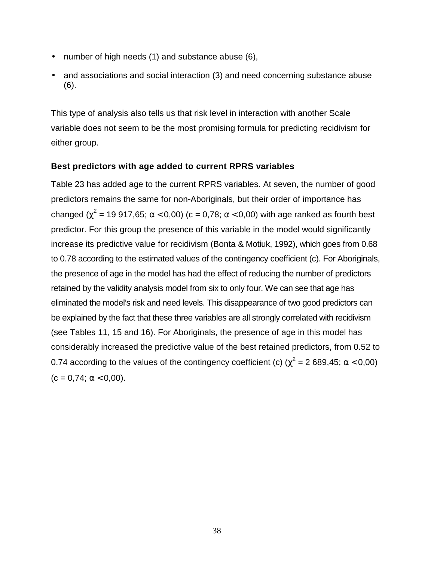- <span id="page-47-0"></span>number of high needs (1) and substance abuse (6),
- and associations and social interaction (3) and need concerning substance abuse (6).

This type of analysis also tells us that risk level in interaction with another Scale variable does not seem to be the most promising formula for predicting recidivism for either group.

### **Best predictors with age added to current RPRS variables**

Table 23 has added age to the current RPRS variables. At seven, the number of good predictors remains the same for non-Aboriginals, but their order of importance has changed ( $\chi^2$  = 19 917,65; α < 0,00) (c = 0,78; α < 0,00) with age ranked as fourth best predictor. For this group the presence of this variable in the model would significantly increase its predictive value for recidivism (Bonta & Motiuk, 1992), which goes from 0.68 to 0.78 according to the estimated values of the contingency coefficient (c). For Aboriginals, the presence of age in the model has had the effect of reducing the number of predictors retained by the validity analysis model from six to only four. We can see that age has eliminated the model's risk and need levels. This disappearance of two good predictors can be explained by the fact that these three variables are all strongly correlated with recidivism (see Tables 11, 15 and 16). For Aboriginals, the presence of age in this model has considerably increased the predictive value of the best retained predictors, from 0.52 to 0.74 according to the values of the contingency coefficient (c) ( $\chi^2$  = 2 689,45; α < 0,00)  $(c = 0.74; \alpha < 0.00).$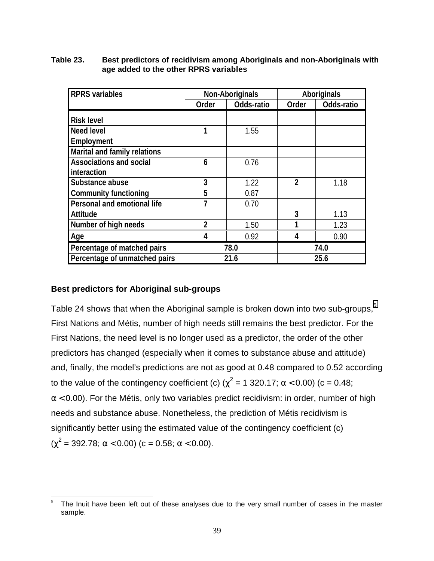| <b>RPRS</b> variables               | <b>Non-Aboriginals</b> |            | <b>Aboriginals</b> |            |
|-------------------------------------|------------------------|------------|--------------------|------------|
|                                     | Order                  | Odds-ratio | Order              | Odds-ratio |
| <b>Risk level</b>                   |                        |            |                    |            |
| <b>Need level</b>                   | 1                      | 1.55       |                    |            |
| Employment                          |                        |            |                    |            |
| <b>Marital and family relations</b> |                        |            |                    |            |
| <b>Associations and social</b>      | 6                      | 0.76       |                    |            |
| interaction                         |                        |            |                    |            |
| Substance abuse                     | 3                      | 1.22       | $\mathfrak{p}$     | 1.18       |
| <b>Community functioning</b>        | 5                      | 0.87       |                    |            |
| Personal and emotional life         |                        | 0.70       |                    |            |
| <b>Attitude</b>                     |                        |            | 3                  | 1.13       |
| Number of high needs                | $\overline{2}$         | 1.50       |                    | 1.23       |
| Age                                 | 4                      | 0.92       | 4                  | 0.90       |
| Percentage of matched pairs         | 78.0                   |            | 74.0               |            |
| Percentage of unmatched pairs       | 21.6                   |            | 25.6               |            |

#### <span id="page-48-0"></span>**Table 23. Best predictors of recidivism among Aboriginals and non-Aboriginals with age added to the other RPRS variables**

# **Best predictors for Aboriginal sub-groups**

Table 24 shows that when the Aboriginal sample is broken down into two sub-groups,<sup>5</sup> First Nations and Métis, number of high needs still remains the best predictor. For the First Nations, the need level is no longer used as a predictor, the order of the other predictors has changed (especially when it comes to substance abuse and attitude) and, finally, the model's predictions are not as good at 0.48 compared to 0.52 according to the value of the contingency coefficient (c) ( $\chi^2$  = 1 320.17; α < 0.00) (c = 0.48;  $\alpha$  < 0.00). For the Métis, only two variables predict recidivism: in order, number of high needs and substance abuse. Nonetheless, the prediction of Métis recidivism is significantly better using the estimated value of the contingency coefficient (c)  $(\chi^2 = 392.78; \alpha < 0.00)$  (c = 0.58;  $\alpha < 0.00$ ).

 $\sqrt{5}$ The Inuit have been left out of these analyses due to the very small number of cases in the master sample.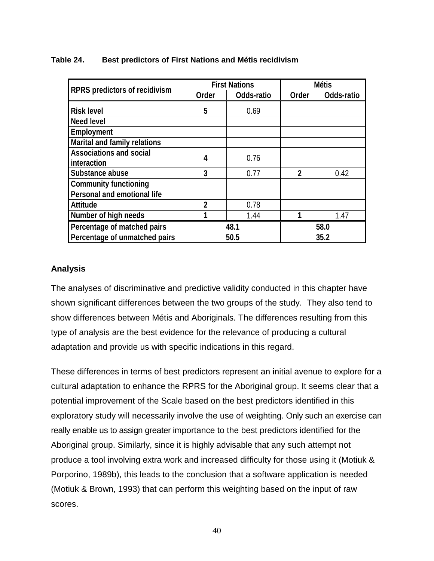|                                     |                | <b>First Nations</b> | <b>Métis</b>   |            |  |
|-------------------------------------|----------------|----------------------|----------------|------------|--|
| RPRS predictors of recidivism       | Order          | Odds-ratio           | Order          | Odds-ratio |  |
| <b>Risk level</b>                   | 5              | 0.69                 |                |            |  |
| <b>Need level</b>                   |                |                      |                |            |  |
| Employment                          |                |                      |                |            |  |
| <b>Marital and family relations</b> |                |                      |                |            |  |
| <b>Associations and social</b>      | 4              | 0.76                 |                |            |  |
| interaction                         |                |                      |                |            |  |
| Substance abuse                     | 3              | 0.77                 | $\overline{2}$ | 0.42       |  |
| <b>Community functioning</b>        |                |                      |                |            |  |
| Personal and emotional life         |                |                      |                |            |  |
| <b>Attitude</b>                     | $\overline{2}$ | 0.78                 |                |            |  |
| Number of high needs                |                | 1.44                 | 1              | 1.47       |  |
| Percentage of matched pairs         | 48.1           |                      |                | 58.0       |  |
| Percentage of unmatched pairs       | 50.5           |                      | 35.2           |            |  |

### <span id="page-49-0"></span>**Table 24. Best predictors of First Nations and Métis recidivism**

### **Analysis**

The analyses of discriminative and predictive validity conducted in this chapter have shown significant differences between the two groups of the study. They also tend to show differences between Métis and Aboriginals. The differences resulting from this type of analysis are the best evidence for the relevance of producing a cultural adaptation and provide us with specific indications in this regard.

These differences in terms of best predictors represent an initial avenue to explore for a cultural adaptation to enhance the RPRS for the Aboriginal group. It seems clear that a potential improvement of the Scale based on the best predictors identified in this exploratory study will necessarily involve the use of weighting. Only such an exercise can really enable us to assign greater importance to the best predictors identified for the Aboriginal group. Similarly, since it is highly advisable that any such attempt not produce a tool involving extra work and increased difficulty for those using it (Motiuk & Porporino, 1989b), this leads to the conclusion that a software application is needed (Motiuk & Brown, 1993) that can perform this weighting based on the input of raw scores.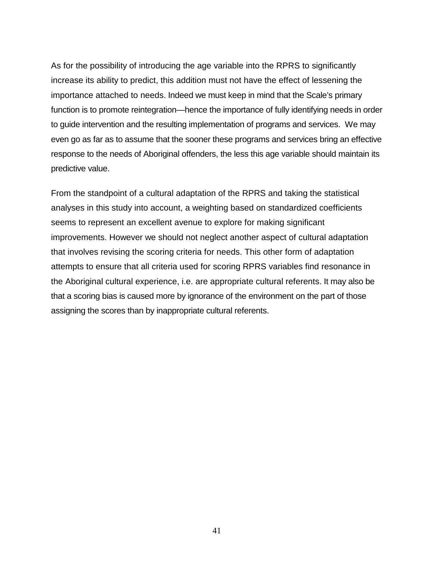As for the possibility of introducing the age variable into the RPRS to significantly increase its ability to predict, this addition must not have the effect of lessening the importance attached to needs. Indeed we must keep in mind that the Scale's primary function is to promote reintegration—hence the importance of fully identifying needs in order to guide intervention and the resulting implementation of programs and services. We may even go as far as to assume that the sooner these programs and services bring an effective response to the needs of Aboriginal offenders, the less this age variable should maintain its predictive value.

From the standpoint of a cultural adaptation of the RPRS and taking the statistical analyses in this study into account, a weighting based on standardized coefficients seems to represent an excellent avenue to explore for making significant improvements. However we should not neglect another aspect of cultural adaptation that involves revising the scoring criteria for needs. This other form of adaptation attempts to ensure that all criteria used for scoring RPRS variables find resonance in the Aboriginal cultural experience, i.e. are appropriate cultural referents. It may also be that a scoring bias is caused more by ignorance of the environment on the part of those assigning the scores than by inappropriate cultural referents.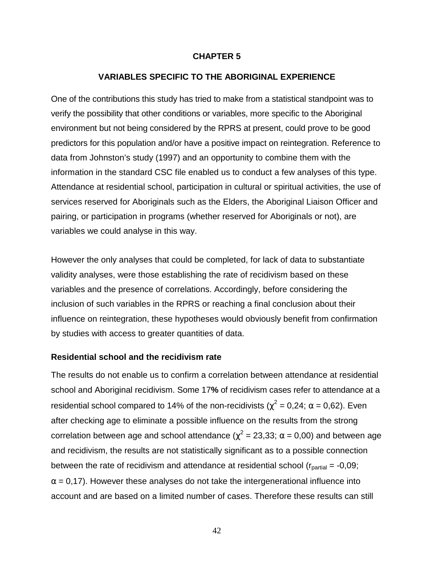#### **CHAPTER 5**

#### **VARIABLES SPECIFIC TO THE ABORIGINAL EXPERIENCE**

<span id="page-51-0"></span>One of the contributions this study has tried to make from a statistical standpoint was to verify the possibility that other conditions or variables, more specific to the Aboriginal environment but not being considered by the RPRS at present, could prove to be good predictors for this population and/or have a positive impact on reintegration. Reference to data from Johnston's study (1997) and an opportunity to combine them with the information in the standard CSC file enabled us to conduct a few analyses of this type. Attendance at residential school, participation in cultural or spiritual activities, the use of services reserved for Aboriginals such as the Elders, the Aboriginal Liaison Officer and pairing, or participation in programs (whether reserved for Aboriginals or not), are variables we could analyse in this way.

However the only analyses that could be completed, for lack of data to substantiate validity analyses, were those establishing the rate of recidivism based on these variables and the presence of correlations. Accordingly, before considering the inclusion of such variables in the RPRS or reaching a final conclusion about their influence on reintegration, these hypotheses would obviously benefit from confirmation by studies with access to greater quantities of data.

#### **Residential school and the recidivism rate**

The results do not enable us to confirm a correlation between attendance at residential school and Aboriginal recidivism. Some 17**%** of recidivism cases refer to attendance at a residential school compared to 14% of the non-recidivists ( $\chi^2$  = 0,24;  $\alpha$  = 0,62). Even after checking age to eliminate a possible influence on the results from the strong correlation between age and school attendance ( $\chi^2$  = 23,33; α = 0,00) and between age and recidivism, the results are not statistically significant as to a possible connection between the rate of recidivism and attendance at residential school ( $r_{\text{partial}} = -0.09$ ;  $\alpha$  = 0,17). However these analyses do not take the intergenerational influence into account and are based on a limited number of cases. Therefore these results can still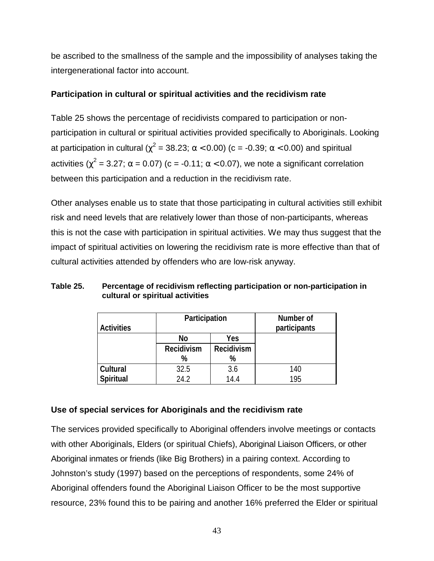<span id="page-52-0"></span>be ascribed to the smallness of the sample and the impossibility of analyses taking the intergenerational factor into account.

### **Participation in cultural or spiritual activities and the recidivism rate**

Table 25 shows the percentage of recidivists compared to participation or nonparticipation in cultural or spiritual activities provided specifically to Aboriginals. Looking at participation in cultural ( $\chi^2$  = 38.23; α < 0.00) (c = -0.39; α < 0.00) and spiritual activities ( $\chi^2$  = 3.27; α = 0.07) (c = -0.11; α < 0.07), we note a significant correlation between this participation and a reduction in the recidivism rate.

Other analyses enable us to state that those participating in cultural activities still exhibit risk and need levels that are relatively lower than those of non-participants, whereas this is not the case with participation in spiritual activities. We may thus suggest that the impact of spiritual activities on lowering the recidivism rate is more effective than that of cultural activities attended by offenders who are low-risk anyway.

|                   | Participation                   |      | Number of    |
|-------------------|---------------------------------|------|--------------|
| <b>Activities</b> |                                 |      | participants |
|                   | <b>No</b>                       | Yes  |              |
|                   | Recidivism<br><b>Recidivism</b> |      |              |
|                   | %                               | %    |              |
| Cultural          | 32.5                            | 3.6  | 140          |
| <b>Spiritual</b>  | 24.2                            | 14.4 | 195          |

**Table 25. Percentage of recidivism reflecting participation or non-participation in cultural or spiritual activities**

### **Use of special services for Aboriginals and the recidivism rate**

The services provided specifically to Aboriginal offenders involve meetings or contacts with other Aboriginals, Elders (or spiritual Chiefs), Aboriginal Liaison Officers, or other Aboriginal inmates or friends (like Big Brothers) in a pairing context. According to Johnston's study (1997) based on the perceptions of respondents, some 24% of Aboriginal offenders found the Aboriginal Liaison Officer to be the most supportive resource, 23% found this to be pairing and another 16% preferred the Elder or spiritual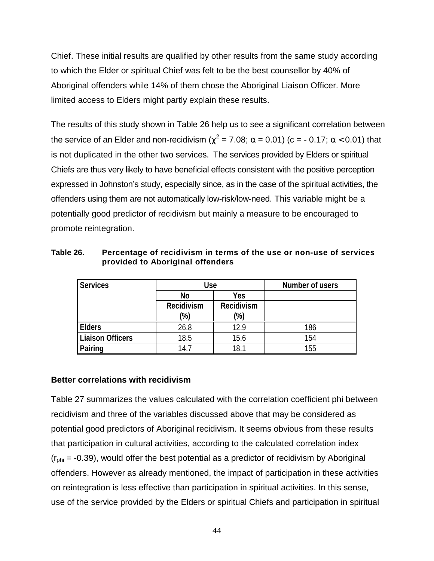<span id="page-53-0"></span>Chief. These initial results are qualified by other results from the same study according to which the Elder or spiritual Chief was felt to be the best counsellor by 40% of Aboriginal offenders while 14% of them chose the Aboriginal Liaison Officer. More limited access to Elders might partly explain these results.

The results of this study shown in Table 26 help us to see a significant correlation between the service of an Elder and non-recidivism ( $\chi^2$  = 7.08; α = 0.01) (c = - 0.17; α < 0.01) that is not duplicated in the other two services. The services provided by Elders or spiritual Chiefs are thus very likely to have beneficial effects consistent with the positive perception expressed in Johnston's study, especially since, as in the case of the spiritual activities, the offenders using them are not automatically low-risk/low-need. This variable might be a potentially good predictor of recidivism but mainly a measure to be encouraged to promote reintegration.

| <b>Services</b> | <b>Use</b>        |                   | Number of users |
|-----------------|-------------------|-------------------|-----------------|
|                 | <b>No</b>         | <b>Yes</b>        |                 |
|                 | <b>Recidivism</b> | <b>Recidivism</b> |                 |
|                 | (%)               | $\frac{1}{6}$     |                 |
| <b>Elders</b>   | 26 R              |                   | 186             |

**Liaison Officers** | 18.5 | 15.6 | 154 **Pairing 14.7 18.1 155** 

**Table 26. Percentage of recidivism in terms of the use or non-use of services provided to Aboriginal offenders**

# **Better correlations with recidivism**

Table 27 summarizes the values calculated with the correlation coefficient phi between recidivism and three of the variables discussed above that may be considered as potential good predictors of Aboriginal recidivism. It seems obvious from these results that participation in cultural activities, according to the calculated correlation index  $(r<sub>phi</sub> = -0.39)$ , would offer the best potential as a predictor of recidivism by Aboriginal offenders. However as already mentioned, the impact of participation in these activities on reintegration is less effective than participation in spiritual activities. In this sense, use of the service provided by the Elders or spiritual Chiefs and participation in spiritual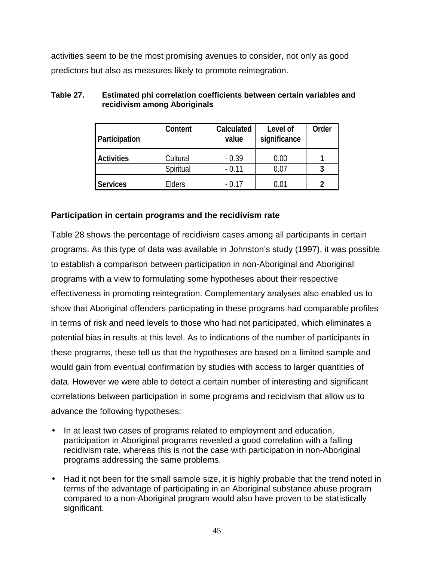<span id="page-54-0"></span>activities seem to be the most promising avenues to consider, not only as good predictors but also as measures likely to promote reintegration.

| Participation     | Content       | <b>Calculated</b><br>value | Level of<br>significance | Order |
|-------------------|---------------|----------------------------|--------------------------|-------|
| <b>Activities</b> | Cultural      | $-0.39$                    | 0.00                     |       |
|                   | Spiritual     | $-0.11$                    | 0.07                     | 3     |
| <b>Services</b>   | <b>Elders</b> | - 0.17                     | 0.01                     | າ     |

### **Table 27. Estimated phi correlation coefficients between certain variables and recidivism among Aboriginals**

# **Participation in certain programs and the recidivism rate**

Table 28 shows the percentage of recidivism cases among all participants in certain programs. As this type of data was available in Johnston's study (1997), it was possible to establish a comparison between participation in non-Aboriginal and Aboriginal programs with a view to formulating some hypotheses about their respective effectiveness in promoting reintegration. Complementary analyses also enabled us to show that Aboriginal offenders participating in these programs had comparable profiles in terms of risk and need levels to those who had not participated, which eliminates a potential bias in results at this level. As to indications of the number of participants in these programs, these tell us that the hypotheses are based on a limited sample and would gain from eventual confirmation by studies with access to larger quantities of data. However we were able to detect a certain number of interesting and significant correlations between participation in some programs and recidivism that allow us to advance the following hypotheses:

- In at least two cases of programs related to employment and education, participation in Aboriginal programs revealed a good correlation with a falling recidivism rate, whereas this is not the case with participation in non-Aboriginal programs addressing the same problems.
- Had it not been for the small sample size, it is highly probable that the trend noted in terms of the advantage of participating in an Aboriginal substance abuse program compared to a non-Aboriginal program would also have proven to be statistically significant.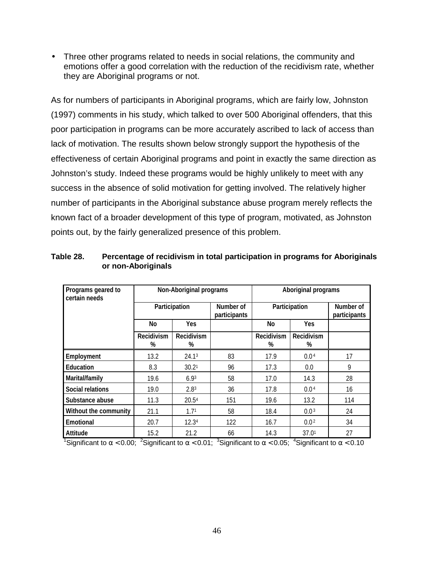<span id="page-55-0"></span>• Three other programs related to needs in social relations, the community and emotions offer a good correlation with the reduction of the recidivism rate, whether they are Aboriginal programs or not.

As for numbers of participants in Aboriginal programs, which are fairly low, Johnston (1997) comments in his study, which talked to over 500 Aboriginal offenders, that this poor participation in programs can be more accurately ascribed to lack of access than lack of motivation. The results shown below strongly support the hypothesis of the effectiveness of certain Aboriginal programs and point in exactly the same direction as Johnston's study. Indeed these programs would be highly unlikely to meet with any success in the absence of solid motivation for getting involved. The relatively higher number of participants in the Aboriginal substance abuse program merely reflects the known fact of a broader development of this type of program, motivated, as Johnston points out, by the fairly generalized presence of this problem.

| Programs geared to<br>certain needs |                 | <b>Non-Aboriginal programs</b> |     |                        | Aboriginal programs    |                           |  |
|-------------------------------------|-----------------|--------------------------------|-----|------------------------|------------------------|---------------------------|--|
|                                     |                 | Participation                  |     | Participation          |                        | Number of<br>participants |  |
|                                     | No.             | <b>Yes</b>                     |     | No                     | <b>Yes</b>             |                           |  |
|                                     | Recidivism<br>% | <b>Recidivism</b><br>%         |     | <b>Recidivism</b><br>% | <b>Recidivism</b><br>% |                           |  |
| Employment                          | 13.2            | 24.1 <sup>3</sup>              | 83  | 17.9                   | 0.04                   | 17                        |  |
| <b>Education</b>                    | 8.3             | 30.21                          | 96  | 17.3                   | 0.0                    | 9                         |  |
| Marital/family                      | 19.6            | 6.9 <sup>3</sup>               | 58  | 17.0                   | 14.3                   | 28                        |  |
| <b>Social relations</b>             | 19.0            | 2.8 <sup>3</sup>               | 36  | 17.8                   | 0.04                   | 16                        |  |
| Substance abuse                     | 11.3            | 20.5 <sup>4</sup>              | 151 | 19.6                   | 13.2                   | 114                       |  |
| Without the community               | 21.1            | 1.71                           | 58  | 18.4                   | 0.03                   | 24                        |  |
| <b>Emotional</b>                    | 20.7            | 12.3 <sup>4</sup>              | 122 | 16.7                   | 0.0 <sup>2</sup>       | 34                        |  |
| <b>Attitude</b>                     | 15.2            | 21.2                           | 66  | 14.3                   | 37.01                  | 27                        |  |

**Table 28. Percentage of recidivism in total participation in programs for Aboriginals or non-Aboriginals**

<sup>1</sup>Significant to  $\alpha$  < 0.00; <sup>2</sup>Significant to  $\alpha$  < 0.01; <sup>3</sup>Significant to  $\alpha$  < 0.05; <sup>4</sup>Significant to  $\alpha$  < 0.10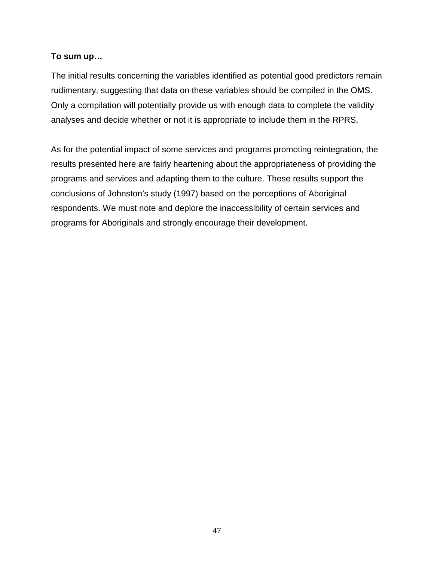### **To sum up…**

The initial results concerning the variables identified as potential good predictors remain rudimentary, suggesting that data on these variables should be compiled in the OMS. Only a compilation will potentially provide us with enough data to complete the validity analyses and decide whether or not it is appropriate to include them in the RPRS.

As for the potential impact of some services and programs promoting reintegration, the results presented here are fairly heartening about the appropriateness of providing the programs and services and adapting them to the culture. These results support the conclusions of Johnston's study (1997) based on the perceptions of Aboriginal respondents. We must note and deplore the inaccessibility of certain services and programs for Aboriginals and strongly encourage their development.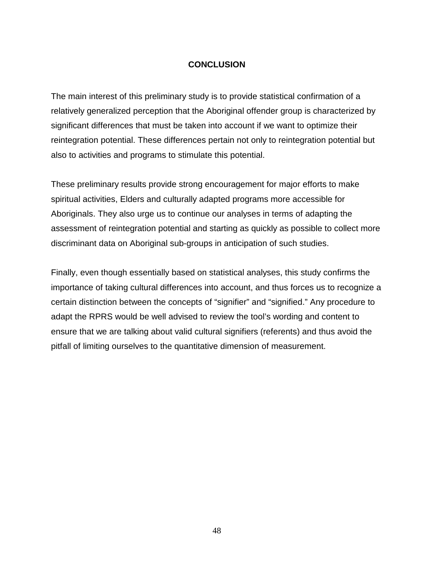### **CONCLUSION**

<span id="page-57-0"></span>The main interest of this preliminary study is to provide statistical confirmation of a relatively generalized perception that the Aboriginal offender group is characterized by significant differences that must be taken into account if we want to optimize their reintegration potential. These differences pertain not only to reintegration potential but also to activities and programs to stimulate this potential.

These preliminary results provide strong encouragement for major efforts to make spiritual activities, Elders and culturally adapted programs more accessible for Aboriginals. They also urge us to continue our analyses in terms of adapting the assessment of reintegration potential and starting as quickly as possible to collect more discriminant data on Aboriginal sub-groups in anticipation of such studies.

Finally, even though essentially based on statistical analyses, this study confirms the importance of taking cultural differences into account, and thus forces us to recognize a certain distinction between the concepts of "signifier" and "signified." Any procedure to adapt the RPRS would be well advised to review the tool's wording and content to ensure that we are talking about valid cultural signifiers (referents) and thus avoid the pitfall of limiting ourselves to the quantitative dimension of measurement.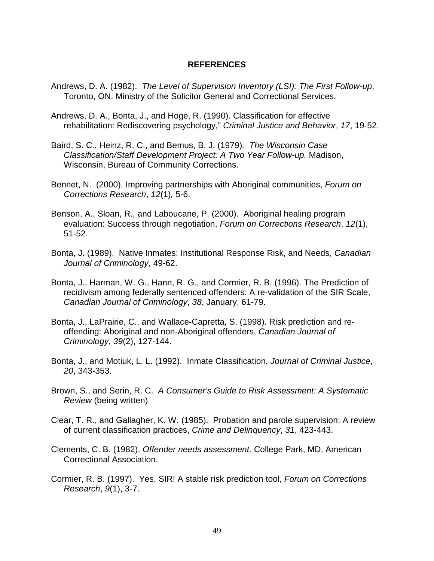#### **REFERENCES**

- <span id="page-58-0"></span>Andrews, D. A. (1982). *The Level of Supervision Inventory (LSI): The First Follow-up*. Toronto, ON, Ministry of the Solicitor General and Correctional Services.
- Andrews, D. A., Bonta, J., and Hoge, R. (1990). Classification for effective rehabilitation: Rediscovering psychology," *Criminal Justice and Behavior*, *17*, 19-52.
- Baird, S. C., Heinz, R. C., and Bemus, B. J. (1979)*. The Wisconsin Case Classification/Staff Development Project: A Two Year Follow-up.* Madison, Wisconsin, Bureau of Community Corrections.
- Bennet, N.(2000). Improving partnerships with Aboriginal communities, *Forum on Corrections Research*, *12*(1)*,* 5-6.
- Benson, A., Sloan, R., and Laboucane, P. (2000). Aboriginal healing program evaluation: Success through negotiation, *Forum on Corrections Research*, *12*(1), 51-52.
- Bonta, J. (1989).Native Inmates: Institutional Response Risk, and Needs, *Canadian Journal of Criminology*, 49-62.
- Bonta, J., Harman, W. G., Hann, R. G., and Cormier, R. B. (1996). The Prediction of recidivism among federally sentenced offenders: A re-validation of the SIR Scale, *Canadian Journal of Criminology*, *38*, January, 61-79.
- Bonta, J., LaPrairie, C., and Wallace-Capretta, S. (1998). Risk prediction and reoffending: Aboriginal and non-Aboriginal offenders, *Canadian Journal of Criminology*, *39*(2), 127-144.
- Bonta, J., and Motiuk, L. L. (1992).Inmate Classification, *Journal of Criminal Justice*, *20*, 343-353.
- Brown, S., and Serin, R. C.*A Consumer's Guide to Risk Assessment: A Systematic Review* (being written)
- Clear, T. R., and Gallagher, K. W. (1985). Probation and parole supervision: A review of current classification practices, *Crime and Delinquency*, *31*, 423-443.
- Clements, C. B. (1982). *Offender needs assessment,* College Park, MD, American Correctional Association.
- Cormier, R. B. (1997). Yes, SIR! A stable risk prediction tool, *Forum on Corrections Research*, *9*(1), 3-7.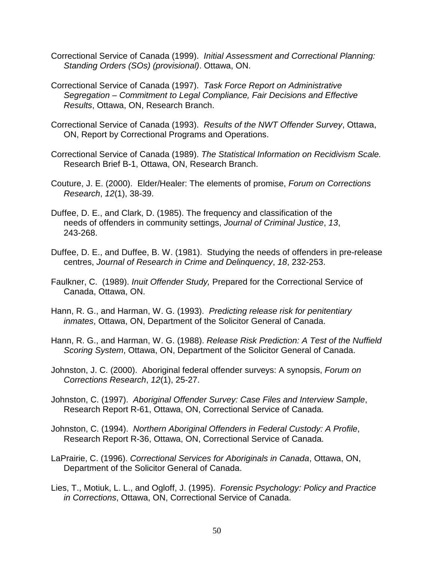- Correctional Service of Canada (1999). *Initial Assessment and Correctional Planning: Standing Orders (SOs) (provisional)*. Ottawa, ON.
- Correctional Service of Canada (1997). *Task Force Report on Administrative Segregation – Commitment to Legal Compliance, Fair Decisions and Effective Results*, Ottawa, ON, Research Branch.
- Correctional Service of Canada (1993). *Results of the NWT Offender Survey*, Ottawa, ON, Report by Correctional Programs and Operations.
- Correctional Service of Canada (1989). *The Statistical Information on Recidivism Scale.* Research Brief B-1, Ottawa, ON, Research Branch.
- Couture, J. E. (2000). Elder/Healer: The elements of promise, *Forum on Corrections Research*, *12*(1), 38-39.
- Duffee, D. E., and Clark, D. (1985). The frequency and classification of the needs of offenders in community settings, *Journal of Criminal Justice*, *13*, 243-268.
- Duffee, D. E., and Duffee, B. W. (1981).Studying the needs of offenders in pre-release centres, *Journal of Research in Crime and Delinquency*, *18*, 232-253.
- Faulkner, C.(1989). *Inuit Offender Study,* Prepared for the Correctional Service of Canada, Ottawa, ON.
- Hann, R. G., and Harman, W. G. (1993).*Predicting release risk for penitentiary inmates*, Ottawa, ON, Department of the Solicitor General of Canada.
- Hann, R. G., and Harman, W. G. (1988). *Release Risk Prediction: A Test of the Nuffield Scoring System*, Ottawa, ON, Department of the Solicitor General of Canada.
- Johnston, J. C. (2000).Aboriginal federal offender surveys: A synopsis, *Forum on Corrections Research*, *12*(1), 25-27.
- Johnston, C. (1997).*Aboriginal Offender Survey: Case Files and Interview Sample*, Research Report R-61, Ottawa, ON, Correctional Service of Canada.
- Johnston, C. (1994).*Northern Aboriginal Offenders in Federal Custody: A Profile*, Research Report R-36, Ottawa, ON, Correctional Service of Canada.
- LaPrairie, C. (1996). *Correctional Services for Aboriginals in Canada*, Ottawa, ON, Department of the Solicitor General of Canada.
- Lies, T., Motiuk, L. L., and Ogloff, J. (1995).*Forensic Psychology: Policy and Practice in Corrections*, Ottawa, ON, Correctional Service of Canada.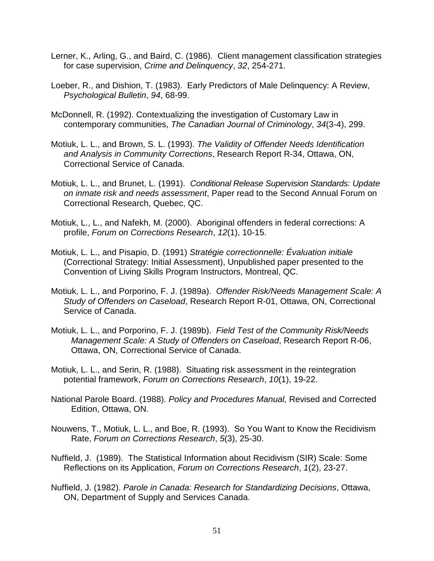- Lerner, K., Arling, G., and Baird, C. (1986). Client management classification strategies for case supervision, *Crime and Delinquency*, *32*, 254-271.
- Loeber, R., and Dishion, T. (1983). Early Predictors of Male Delinquency: A Review, *Psychological Bulletin*, *94*, 68-99.
- McDonnell, R. (1992). Contextualizing the investigation of Customary Law in contemporary communities, *The Canadian Journal of Criminology*, *34*(3-4), 299.
- Motiuk, L. L., and Brown, S. L. (1993). *The Validity of Offender Needs Identification and Analysis in Community Corrections*, Research Report R-34, Ottawa, ON, Correctional Service of Canada.
- Motiuk, L. L., and Brunet, L. (1991). *Conditional Release Supervision Standards: Update on inmate risk and needs assessment*, Paper read to the Second Annual Forum on Correctional Research, Quebec, QC.
- Motiuk, L., L., and Nafekh, M. (2000). Aboriginal offenders in federal corrections: A profile, *Forum on Corrections Research*, *12*(1), 10-15.
- Motiuk, L. L., and Pisapio, D. (1991) *Stratégie correctionnelle: Évaluation initiale* (Correctional Strategy: Initial Assessment), Unpublished paper presented to the Convention of Living Skills Program Instructors, Montreal, QC.
- Motiuk, L. L., and Porporino, F. J. (1989a). *Offender Risk/Needs Management Scale: A Study of Offenders on Caseload*, Research Report R-01, Ottawa, ON, Correctional Service of Canada.
- Motiuk, L. L., and Porporino, F. J. (1989b). *Field Test of the Community Risk/Needs Management Scale: A Study of Offenders on Caseload*, Research Report R-06, Ottawa, ON, Correctional Service of Canada.
- Motiuk, L. L., and Serin, R. (1988). Situating risk assessment in the reintegration potential framework, *Forum on Corrections Research*, *10*(1), 19-22.
- National Parole Board. (1988). *Policy and Procedures Manual,* Revised and Corrected Edition, Ottawa, ON.
- Nouwens, T., Motiuk, L. L., and Boe, R. (1993).So You Want to Know the Recidivism Rate, *Forum on Corrections Research*, *5*(3), 25-30.
- Nuffield, J.(1989).The Statistical Information about Recidivism (SIR) Scale: Some Reflections on its Application, *Forum on Corrections Research*, *1*(2), 23-27.
- Nuffield, J. (1982). *Parole in Canada: Research for Standardizing Decisions*, Ottawa, ON, Department of Supply and Services Canada.